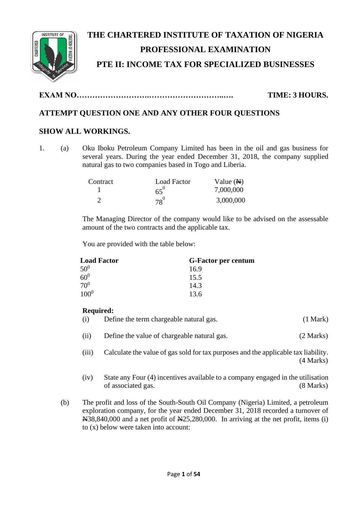

# **THE CHARTERED INSTITUTE OF TAXATION OF NIGERIA PROFESSIONAL EXAMINATION PTE II: INCOME TAX FOR SPECIALIZED BUSINESSES**

**EXAM NO……………………….………………………..…. TIME: 3 HOURS.**

# **ATTEMPT QUESTION ONE AND ANY OTHER FOUR QUESTIONS**

# **SHOW ALL WORKINGS.**

1. (a) Oku Iboku Petroleum Company Limited has been in the oil and gas business for several years. During the year ended December 31, 2018, the company supplied natural gas to two companies based in Togo and Liberia.

| Contract | <b>Load Factor</b> | Value $(\mathbb{A})$ |
|----------|--------------------|----------------------|
|          | $65^\circ$         | 7,000,000            |
|          | $78^0$             | 3,000,000            |

The Managing Director of the company would like to be advised on the assessable amount of the two contracts and the applicable tax.

You are provided with the table below:

| <b>Load Factor</b> | <b>G-Factor per centum</b> |
|--------------------|----------------------------|
| 50 <sup>0</sup>    | 16.9                       |
| $60^{0}$           | 15.5                       |
| 70 <sup>0</sup>    | 14.3                       |
| $100^{0}$          | 13.6                       |

## **Required:**

- (i) Define the term chargeable natural gas. (1 Mark)
- (ii) Define the value of chargeable natural gas. (2 Marks)
- (iii) Calculate the value of gas sold for tax purposes and the applicable tax liability. (4 Marks)
- (iv) State any Four (4) incentives available to a company engaged in the utilisation of associated gas. (8 Marks)
- (b) The profit and loss of the South-South Oil Company (Nigeria) Limited, a petroleum exploration company, for the year ended December 31, 2018 recorded a turnover of  $\text{A}38,840,000$  and a net profit of  $\text{A}25,280,000$ . In arriving at the net profit, items (i) to (x) below were taken into account: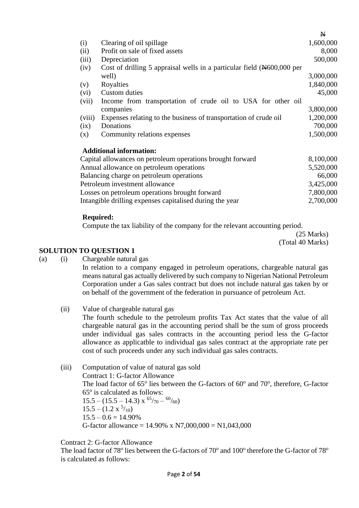|        |                                                                          | $\mathbf{N}$ |
|--------|--------------------------------------------------------------------------|--------------|
| (i)    | Clearing of oil spillage                                                 | 1,600,000    |
| (ii)   | Profit on sale of fixed assets                                           | 8,000        |
| (iii)  | Depreciation                                                             | 500,000      |
| (iv)   | Cost of drilling 5 appraisal wells in a particular field $(*600,000$ per |              |
|        | well)                                                                    | 3,000,000    |
| (v)    | Royalties                                                                | 1,840,000    |
| (vi)   | Custom duties                                                            | 45,000       |
| (vii)  | Income from transportation of crude oil to USA for other oil             |              |
|        | companies                                                                | 3,800,000    |
| (viii) | Expenses relating to the business of transportation of crude oil         | 1,200,000    |
| (ix)   | Donations                                                                | 700,000      |
| (x)    | Community relations expenses                                             | 1,500,000    |
|        | <b>Additional information:</b>                                           |              |
|        | Capital allowances on petroleum operations brought forward               | 8,100,000    |
|        | Annual allowance on petroleum operations                                 | 5,520,000    |
|        | Balancing charge on petroleum operations                                 | 66,000       |
|        | Petroleum investment allowance                                           | 3,425,000    |
|        | Losses on petroleum operations brought forward                           | 7,800,000    |
|        | Intangible drilling expenses capitalised during the year                 | 2,700,000    |

#### **Required:**

Compute the tax liability of the company for the relevant accounting period.

(25 Marks) (Total 40 Marks)

#### **SOLUTION TO QUESTION 1**

(a) (i) Chargeable natural gas

In relation to a company engaged in petroleum operations, chargeable natural gas means natural gas actually delivered by such company to Nigerian National Petroleum Corporation under a Gas sales contract but does not include natural gas taken by or on behalf of the government of the federation in pursuance of petroleum Act.

- (ii) Value of chargeable natural gas The fourth schedule to the petroleum profits Tax Act states that the value of all chargeable natural gas in the accounting period shall be the sum of gross proceeds under individual gas sales contracts in the accounting period less the G-factor allowance as applicatble to individual gas sales contract at the appropriate rate per cost of such proceeds under any such individual gas sales contracts.
- (iii) Computation of value of natural gas sold Contract 1: G-factor Allowance The load factor of  $65^\circ$  lies between the G-factors of  $60^\circ$  and  $70^\circ$ , therefore, G-factor  $65^\circ$  is calculated as follows:  $15.5 - (15.5 - 14.3) \times \frac{65}{70} - \frac{60}{60}$  $15.5 - (1.2 \times \frac{5}{10})$  $15.5 - 0.6 = 14.90\%$ G-factor allowance =  $14.90\%$  x N7,000,000 = N1,043,000

#### Contract 2: G-factor Allowance

The load factor of 78° lies between the G-factors of 70° and 100° therefore the G-factor of 78° is calculated as follows: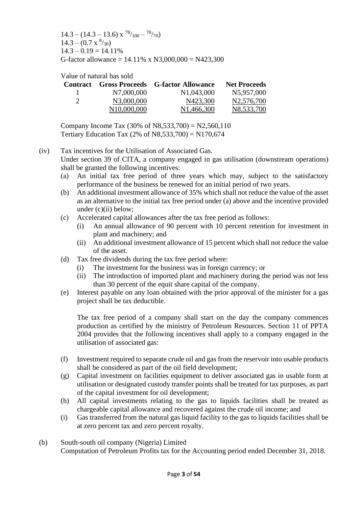$14.3 - (14.3 - 13.6) \times \frac{78}{100} - \frac{70}{70}$  $14.3 - (0.7 \times \frac{8}{30})$  $14.3 - 0.19 = 14.11\%$ G-factor allowance =  $14.11\%$  x N3,000,000 = N423,300

Value of natural has sold

|               |                          | <b>Contract</b> Gross Proceeds G-factor Allowance | <b>Net Proceeds</b> |
|---------------|--------------------------|---------------------------------------------------|---------------------|
| Ι.            | N7,000,000               | N <sub>1</sub> ,043,000                           | N5,957,000          |
| $\mathcal{D}$ | N3,000,000               | N423,300                                          | N2,576,700          |
|               | N <sub>10</sub> ,000,000 | N <sub>1</sub> ,466,300                           | N8,533,700          |

Company Income Tax  $(30\% \text{ of } N8,533,700) = N2,560,110$ Tertiary Education Tax  $(2% \text{ of } N8,533,700) = N170,674$ 

(iv) Tax incentives for the Utilisation of Associated Gas. Under section 39 of CITA, a company engaged in gas utilisation (downstream operations) shall be granted the following incentives:

- (a) An initial tax free period of three years which may, subject to the satisfactory performance of the business be renewed for an initial period of two years.
- (b) An additional investment allowance of 35% which shall not reduce the value of the asset as an alternative to the initial tax free period under (a) above and the incentive provided under (c)(ii) below;
- (c) Accelerated capital allowances after the tax free period as follows:
	- (i) An annual allowance of 90 percent with 10 percent retention for investment in plant and machinery; and
	- (ii) An additional investment allowance of 15 percent which shall not reduce the value of the asset.
- (d) Tax free dividends during the tax free period where:
	- (i) The investment for the business was in foreign currency; or
	- (ii) The introduction of imported plant and machinery during the period was not less than 30 percent of the equit share capital of the company.
- (e) Interest payable on any loan obtained with the prior approval of the minister for a gas project shall be tax deductible.

The tax free period of a company shall start on the day the company commences production as certified by the ministry of Petroleum Resources. Section 11 of PPTA 2004 provides that the following incentives shall apply to a company engaged in the utilisation of associated gas:

- (f) Investment required to separate crude oil and gas from the reservoir into usable products shall be considered as part of the oil field development;
- (g) Capital investment on facilities equipment to deliver associated gas in usable form at utilisation or designated custody transfer points shall be treated for tax purposes, as part of the capital investment for oil development;
- (h) All capital investments relating to the gas to liquids facilities shall be treated as chargeable capital allowance and recovered against the crude oil income; and
- (i) Gas transferred from the natural gas liquid facility to the gas to liquids facilities shall be at zero percent tax and zero percent royalty.
- (b) South-south oil company (Nigeria) Limited Computation of Petroleum Profits tax for the Accounting period ended December 31, 2018.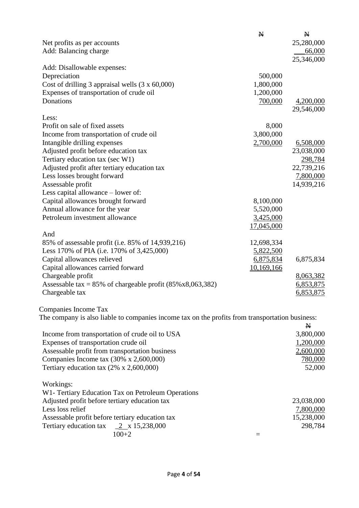|                                                                                                 | $\mathbf{N}$ | $\mathbb N$ |
|-------------------------------------------------------------------------------------------------|--------------|-------------|
| Net profits as per accounts                                                                     |              | 25,280,000  |
| Add: Balancing charge                                                                           |              | 66,000      |
|                                                                                                 |              | 25,346,000  |
| Add: Disallowable expenses:                                                                     |              |             |
| Depreciation                                                                                    | 500,000      |             |
| Cost of drilling 3 appraisal wells $(3 \times 60,000)$                                          | 1,800,000    |             |
| Expenses of transportation of crude oil                                                         | 1,200,000    |             |
| Donations                                                                                       | 700,000      | 4,200,000   |
|                                                                                                 |              | 29,546,000  |
| Less:                                                                                           |              |             |
| Profit on sale of fixed assets                                                                  | 8,000        |             |
| Income from transportation of crude oil                                                         | 3,800,000    |             |
| Intangible drilling expenses                                                                    | 2,700,000    | 6,508,000   |
| Adjusted profit before education tax                                                            |              | 23,038,000  |
| Tertiary education tax (sec W1)                                                                 |              | 298,784     |
| Adjusted profit after tertiary education tax                                                    |              | 22,739,216  |
| Less losses brought forward                                                                     |              | 7,800,000   |
| Assessable profit                                                                               |              | 14,939,216  |
| Less capital allowance – lower of:                                                              |              |             |
| Capital allowances brought forward                                                              | 8,100,000    |             |
| Annual allowance for the year                                                                   | 5,520,000    |             |
| Petroleum investment allowance                                                                  | 3,425,000    |             |
|                                                                                                 | 17,045,000   |             |
| And                                                                                             |              |             |
| 85% of assessable profit (i.e. 85% of 14,939,216)                                               | 12,698,334   |             |
| Less 170% of PIA (i.e. 170% of 3,425,000)                                                       | 5,822,500    |             |
| Capital allowances relieved                                                                     | 6,875,834    | 6,875,834   |
| Capital allowances carried forward                                                              | 10,169,166   |             |
| Chargeable profit                                                                               |              | 8,063,382   |
| Assessable tax = $85\%$ of chargeable profit $(85\% \times 8,063,382)$                          |              | 6,853,875   |
| Chargeable tax                                                                                  |              | 6,853,875   |
|                                                                                                 |              |             |
| Companies Income Tax                                                                            |              |             |
| The company is also liable to companies income tax on the profits from transportation business: |              |             |
|                                                                                                 |              | $\mathbf N$ |
| Income from transportation of crude oil to USA                                                  |              | 3,800,000   |
| Expenses of transportation crude oil                                                            |              | 1,200,000   |
| Assessable profit from transportation business                                                  |              | 2,600,000   |
| Companies Income tax $(30\% \times 2,600,000)$                                                  |              | 780,000     |
| Tertiary education tax $(2\% \times 2,600,000)$                                                 |              | 52,000      |
|                                                                                                 |              |             |
| Workings:                                                                                       |              |             |
| W1- Tertiary Education Tax on Petroleum Operations                                              |              |             |
| Adjusted profit before tertiary education tax                                                   |              | 23,038,000  |
| Less loss relief                                                                                |              | 7,800,000   |
| Assessable profit before tertiary education tax                                                 |              | 15,238,000  |
| Tertiary education tax $2 \times 15,238,000$                                                    |              | 298,784     |
| $100 + 2$                                                                                       | $=$          |             |
|                                                                                                 |              |             |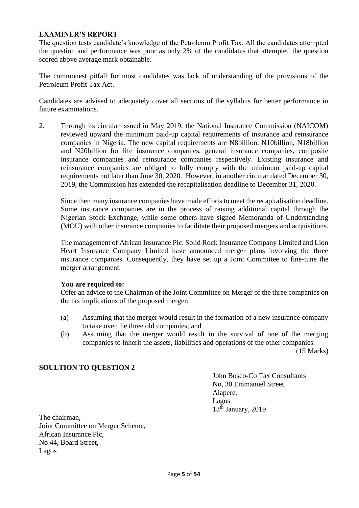#### **EXAMINER'S REPORT**

The question tests candidate's knowledge of the Petroleum Profit Tax. All the candidates attempted the question and performance was poor as only 2% of the candidates that attempted the question scored above average mark obtainable.

The commonest pitfall for most candidates was lack of understanding of the provisions of the Petroleum Profit Tax Act.

Candidates are advised to adequately cover all sections of the syllabus for better performance in future examinations.

2. Through its circular issued in May 2019, the National Insurance Commission (NAICOM) reviewed upward the minimum paid-up capital requirements of insurance and reinsurance companies in Nigeria. The new capital requirements are Negotillion, Negotillion, Negotillion and N20billion for life insurance companies, general insurance companies, composite insurance companies and reinsurance companies respectively. Existing insurance and reinsurance companies are obliged to fully comply with the minimum paid-up capital requirements not later than June 30, 2020. However, in another circular dated December 30, 2019, the Commission has extended the recapitalisation deadline to December 31, 2020.

Since then many insurance companies have made efforts to meet the recapitalisation deadline. Some insurance companies are in the process of raising additional capital through the Nigerian Stock Exchange, while some others have signed Memoranda of Understanding (MOU) with other insurance companies to facilitate their proposed mergers and acquisitions.

The management of African Insurance Plc. Solid Rock Insurance Company Limited and Lion Heart Insurance Company Limited have announced merger plans involving the three insurance companies. Consequently, they have set up a Joint Committee to fine-tune the merger arrangement.

#### **You are required to:**

Offer an advice to the Chairman of the Joint Committee on Merger of the three companies on the tax implications of the proposed merger:

- (a) Assuming that the merger would result in the formation of a new insurance company to take over the three old companies; and
- (b) Assuming that the merger would result in the survival of one of the merging companies to inherit the assets, liabilities and operations of the other companies.

(15 Marks)

#### **SOULTION TO QUESTION 2**

John Bosco-Co Tax Consultants No, 30 Emmanuel Street, Alapere, Lagos 13<sup>th</sup> January, 2019

The chairman, Joint Committee on Merger Scheme, African Insurance Plc, No 44, Board Street, Lagos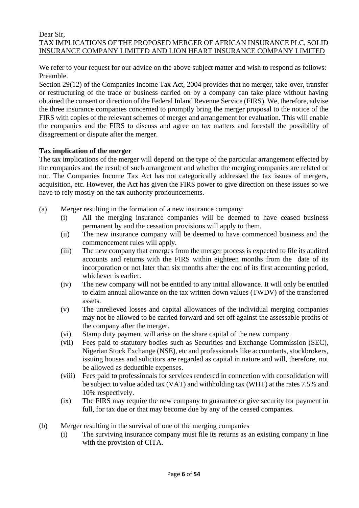#### Dear Sir, TAX IMPLICATIONS OF THE PROPOSED MERGER OF AFRICAN INSURANCE PLC, SOLID INSURANCE COMPANY LIMITED AND LION HEART INSURANCE COMPANY LIMITED

We refer to your request for our advice on the above subject matter and wish to respond as follows: Preamble.

Section 29(12) of the Companies Income Tax Act, 2004 provides that no merger, take-over, transfer or restructuring of the trade or business carried on by a company can take place without having obtained the consent or direction of the Federal Inland Revenue Service (FIRS). We, therefore, advise the three insurance companies concerned to promptly bring the merger proposal to the notice of the FIRS with copies of the relevant schemes of merger and arrangement for evaluation. This will enable the companies and the FIRS to discuss and agree on tax matters and forestall the possibility of disagreement or dispute after the merger.

#### **Tax implication of the merger**

The tax implications of the merger will depend on the type of the particular arrangement effected by the companies and the result of such arrangement and whether the merging companies are related or not. The Companies Income Tax Act has not categorically addressed the tax issues of mergers, acquisition, etc. However, the Act has given the FIRS power to give direction on these issues so we have to rely mostly on the tax authority pronouncements.

- (a) Merger resulting in the formation of a new insurance company:
	- (i) All the merging insurance companies will be deemed to have ceased business permanent by and the cessation provisions will apply to them.
	- (ii) The new insurance company will be deemed to have commenced business and the commencement rules will apply.
	- (iii) The new company that emerges from the merger process is expected to file its audited accounts and returns with the FIRS within eighteen months from the date of its incorporation or not later than six months after the end of its first accounting period, whichever is earlier.
	- (iv) The new company will not be entitled to any initial allowance. It will only be entitled to claim annual allowance on the tax written down values (TWDV) of the transferred assets.
	- (v) The unrelieved losses and capital allowances of the individual merging companies may not be allowed to be carried forward and set off against the assessable profits of the company after the merger.
	- (vi) Stamp duty payment will arise on the share capital of the new company.
	- (vii) Fees paid to statutory bodies such as Securities and Exchange Commission (SEC), Nigerian Stock Exchange (NSE), etc and professionals like accountants, stockbrokers, issuing houses and solicitors are regarded as capital in nature and will, therefore, not be allowed as deductible expenses.
	- (viii) Fees paid to professionals for services rendered in connection with consolidation will be subject to value added tax (VAT) and withholding tax (WHT) at the rates 7.5% and 10% respectively.
	- (ix) The FIRS may require the new company to guarantee or give security for payment in full, for tax due or that may become due by any of the ceased companies.
- (b) Merger resulting in the survival of one of the merging companies
	- (i) The surviving insurance company must file its returns as an existing company in line with the provision of CITA.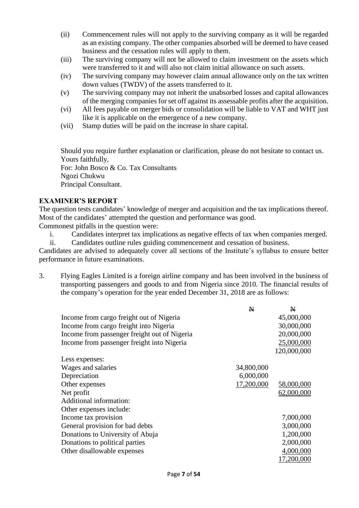- (ii) Commencement rules will not apply to the surviving company as it will be regarded as an existing company. The other companies absorbed will be deemed to have ceased business and the cessation rules will apply to them.
- (iii) The surviving company will not be allowed to claim investment on the assets which were transferred to it and will also not claim initial allowance on such assets.
- (iv) The surviving company may however claim annual allowance only on the tax written down values (TWDV) of the assets transferred to it.
- (v) The surviving company may not inherit the unabsorbed losses and capital allowances of the merging companies for set off against its assessable profits after the acquisition.
- (vi) All fees payable on merger bids or consolidation will be liable to VAT and WHT just like it is applicable on the emergence of a new company.
- (vii) Stamp duties will be paid on the increase in share capital.

Should you require further explanation or clarification, please do not hesitate to contact us. Yours faithfully,

For: John Bosco & Co. Tax Consultants Ngozi Chukwu Principal Consultant.

## **EXAMINER'S REPORT**

The question tests candidates' knowledge of merger and acquisition and the tax implications thereof. Most of the candidates' attempted the question and performance was good.

Commonest pitfalls in the question were:

i. Candidates interpret tax implications as negative effects of tax when companies merged.

ii. Candidates outline rules guiding commencement and cessation of business.

Candidates are advised to adequately cover all sections of the Institute's syllabus to ensure better performance in future examinations.

3. Flying Eagles Limited is a foreign airline company and has been involved in the business of transporting passengers and goods to and from Nigeria since 2010. The financial results of the company's operation for the year ended December 31, 2018 are as follows:

|                                              | $\mathbf N$ | N           |
|----------------------------------------------|-------------|-------------|
| Income from cargo freight out of Nigeria     |             | 45,000,000  |
| Income from cargo freight into Nigeria       |             | 30,000,000  |
| Income from passenger freight out of Nigeria |             | 20,000,000  |
| Income from passenger freight into Nigeria   |             | 25,000,000  |
|                                              |             | 120,000,000 |
| Less expenses:                               |             |             |
| Wages and salaries                           | 34,800,000  |             |
| Depreciation                                 | 6,000,000   |             |
| Other expenses                               | 17,200,000  | 58,000,000  |
| Net profit                                   |             | 62,000,000  |
| Additional information:                      |             |             |
| Other expenses include:                      |             |             |
| Income tax provision                         |             | 7,000,000   |
| General provision for bad debts              |             | 3,000,000   |
| Donations to University of Abuja             |             | 1,200,000   |
| Donations to political parties               |             | 2,000,000   |
| Other disallowable expenses                  |             | 4,000,000   |
|                                              |             | 17,200,000  |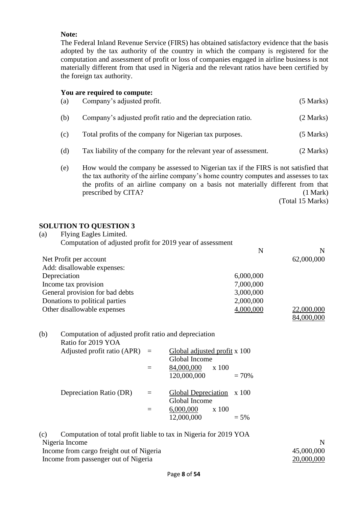#### **Note:**

The Federal Inland Revenue Service (FIRS) has obtained satisfactory evidence that the basis adopted by the tax authority of the country in which the company is registered for the computation and assessment of profit or loss of companies engaged in airline business is not materially different from that used in Nigeria and the relevant ratios have been certified by the foreign tax authority.

#### **You are required to compute:**

| (a) | Company's adjusted profit.                                                                                                                                                                                                                                                            | (5 Marks) |
|-----|---------------------------------------------------------------------------------------------------------------------------------------------------------------------------------------------------------------------------------------------------------------------------------------|-----------|
| (b) | Company's adjusted profit ratio and the depreciation ratio.                                                                                                                                                                                                                           | (2 Marks) |
| (c) | Total profits of the company for Nigerian tax purposes.                                                                                                                                                                                                                               | (5 Marks) |
| (d) | Tax liability of the company for the relevant year of assessment.                                                                                                                                                                                                                     | (2 Marks) |
| (e) | How would the company be assessed to Nigerian tax if the FIRS is not satisfied that<br>the tax authority of the airline company's home country computes and assesses to tax<br>the profits of an airline company on a basis not materially different from that<br>prescribed by CITA? | (1 Mark)  |

(Total 15 Marks)

# **SOLUTION TO QUESTION 3**

| Flying Eagles Limited.<br>(a)                              |           |            |
|------------------------------------------------------------|-----------|------------|
| Computation of adjusted profit for 2019 year of assessment |           |            |
|                                                            | N         | N          |
| Net Profit per account                                     |           | 62,000,000 |
| Add: disallowable expenses:                                |           |            |
| Depreciation                                               | 6,000,000 |            |
| Income tax provision                                       | 7,000,000 |            |
| General provision for bad debts                            | 3,000,000 |            |
| Donations to political parties                             | 2,000,000 |            |
| Other disallowable expenses                                | 4,000,000 | 22,000,000 |
|                                                            |           | 84,000,000 |

| (b) | Computation of adjusted profit ratio and depreciation |          |                              |
|-----|-------------------------------------------------------|----------|------------------------------|
|     | Ratio for 2019 YOA                                    |          |                              |
|     | Adjusted profit ratio (APR) $=$                       |          | Global adjusted profit x 100 |
|     |                                                       |          | Global Income                |
|     |                                                       | $\equiv$ | 84,000,000<br>x 100          |
|     |                                                       |          | 120,000,000<br>$= 70\%$      |
|     |                                                       |          |                              |
|     | Depreciation Ratio (DR)                               | $=$      | Global Depreciation x 100    |
|     |                                                       |          | Global Income                |
|     |                                                       |          | 6,000,000<br>x 100           |
|     |                                                       |          | 12,000,000<br>$= 5\%$        |
|     |                                                       |          |                              |

(c) Computation of total profit liable to tax in Nigeria for 2019 YOA Nigeria Income N Income from cargo freight out of Nigeria 45,000,000 Income from passenger out of Nigeria 20,000,000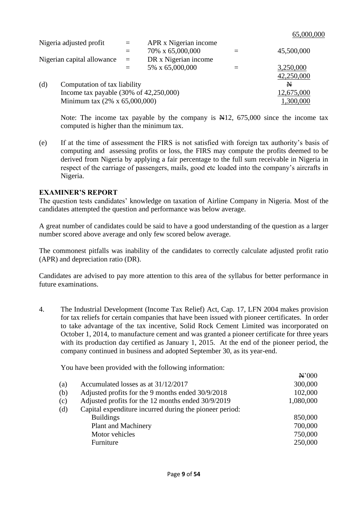$\mathbf{N}$ 

|     | Nigeria adjusted profit                            | $=$ | APR x Nigerian income |            |
|-----|----------------------------------------------------|-----|-----------------------|------------|
|     |                                                    |     | 70% x 65,000,000      | 45,500,000 |
|     | Nigerian capital allowance                         | $=$ | DR x Nigerian income  |            |
|     |                                                    |     | 5% x 65,000,000       | 3,250,000  |
|     |                                                    |     |                       | 42,250,000 |
| (d) | Computation of tax liability                       |     |                       | N          |
|     | Income tax payable $(30\% \text{ of } 42,250,000)$ |     |                       | 12,675,000 |
|     | Minimum tax (2% x 65,000,000)                      |     |                       | 1,300,000  |

Note: The income tax payable by the company is  $\frac{1}{2}$ , 675,000 since the income tax computed is higher than the minimum tax.

(e) If at the time of assessment the FIRS is not satisfied with foreign tax authority's basis of computing and assessing profits or loss, the FIRS may compute the profits deemed to be derived from Nigeria by applying a fair percentage to the full sum receivable in Nigeria in respect of the carriage of passengers, mails, good etc loaded into the company's aircrafts in Nigeria.

#### **EXAMINER'S REPORT**

The question tests candidates' knowledge on taxation of Airline Company in Nigeria. Most of the candidates attempted the question and performance was below average.

A great number of candidates could be said to have a good understanding of the question as a larger number scored above average and only few scored below average.

The commonest pitfalls was inability of the candidates to correctly calculate adjusted profit ratio (APR) and depreciation ratio (DR).

Candidates are advised to pay more attention to this area of the syllabus for better performance in future examinations.

4. The Industrial Development (Income Tax Relief) Act, Cap. 17, LFN 2004 makes provision for tax reliefs for certain companies that have been issued with pioneer certificates. In order to take advantage of the tax incentive, Solid Rock Cement Limited was incorporated on October 1, 2014, to manufacture cement and was granted a pioneer certificate for three years with its production day certified as January 1, 2015. At the end of the pioneer period, the company continued in business and adopted September 30, as its year-end.

You have been provided with the following information:

|     |                                                         | IN VVV    |
|-----|---------------------------------------------------------|-----------|
| (a) | Accumulated losses as at 31/12/2017                     | 300,000   |
| (b) | Adjusted profits for the 9 months ended 30/9/2018       | 102,000   |
| (c) | Adjusted profits for the 12 months ended 30/9/2019      | 1,080,000 |
| (d) | Capital expenditure incurred during the pioneer period: |           |
|     | <b>Buildings</b>                                        | 850,000   |
|     | Plant and Machinery                                     | 700,000   |
|     | Motor vehicles                                          | 750,000   |
|     | Furniture                                               | 250,000   |
|     |                                                         |           |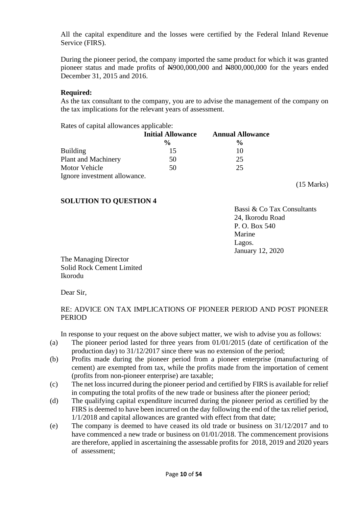All the capital expenditure and the losses were certified by the Federal Inland Revenue Service (FIRS).

During the pioneer period, the company imported the same product for which it was granted pioneer status and made profits of  $\frac{1000,000,000}{100,000,000}$  and  $\frac{100,000,000}{100,000,000}$  for the years ended December 31, 2015 and 2016.

#### **Required:**

As the tax consultant to the company, you are to advise the management of the company on the tax implications for the relevant years of assessment.

Rates of capital allowances applicable:

|                              | <b>Initial Allowance</b> | <b>Annual Allowance</b> |
|------------------------------|--------------------------|-------------------------|
|                              | $\frac{0}{0}$            | $\frac{0}{0}$           |
| <b>Building</b>              | 15                       | 10                      |
| Plant and Machinery          | 50                       | 25                      |
| Motor Vehicle                | 50                       | 25                      |
| Ignore investment allowance. |                          |                         |

#### **SOLUTION TO QUESTION 4**

Bassi & Co Tax Consultants 24, Ikorodu Road P. O. Box 540 Marine Lagos. January 12, 2020

(15 Marks)

The Managing Director Solid Rock Cement Limited Ikorodu

Dear Sir,

## RE: ADVICE ON TAX IMPLICATIONS OF PIONEER PERIOD AND POST PIONEER PERIOD

In response to your request on the above subject matter, we wish to advise you as follows:

- (a) The pioneer period lasted for three years from 01/01/2015 (date of certification of the production day) to 31/12/2017 since there was no extension of the period;
- (b) Profits made during the pioneer period from a pioneer enterprise (manufacturing of cement) are exempted from tax, while the profits made from the importation of cement (profits from non-pioneer enterprise) are taxable;
- (c) The net loss incurred during the pioneer period and certified by FIRS is available for relief in computing the total profits of the new trade or business after the pioneer period;
- (d) The qualifying capital expenditure incurred during the pioneer period as certified by the FIRS is deemed to have been incurred on the day following the end of the tax relief period, 1/1/2018 and capital allowances are granted with effect from that date;
- (e) The company is deemed to have ceased its old trade or business on 31/12/2017 and to have commenced a new trade or business on 01/01/2018. The commencement provisions are therefore, applied in ascertaining the assessable profits for 2018, 2019 and 2020 years of assessment;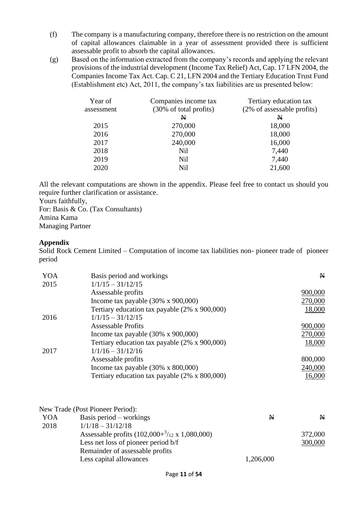- (f) The company is a manufacturing company, therefore there is no restriction on the amount of capital allowances claimable in a year of assessment provided there is sufficient assessable profit to absorb the capital allowances.
- (g) Based on the information extracted from the company's records and applying the relevant provisions of the industrial development (Income Tax Relief) Act, Cap. 17 LFN 2004, the Companies Income Tax Act. Cap. C 21, LFN 2004 and the Tertiary Education Trust Fund (Establishment etc) Act, 2011, the company's tax liabilities are us presented below:

| Year of    | Companies income tax   | Tertiary education tax     |
|------------|------------------------|----------------------------|
| assessment | (30% of total profits) | (2% of assessable profits) |
|            | N                      | $\mathbf N$                |
| 2015       | 270,000                | 18,000                     |
| 2016       | 270,000                | 18,000                     |
| 2017       | 240,000                | 16,000                     |
| 2018       | Nil                    | 7,440                      |
| 2019       | Nil                    | 7,440                      |
| 2020       | <b>Nil</b>             | 21,600                     |

All the relevant computations are shown in the appendix. Please feel free to contact us should you require further clarification or assistance.

Yours faithfully,

For: Basis & Co. (Tax Consultants) Amina Kama Managing Partner

# **Appendix**

Solid Rock Cement Limited – Computation of income tax liabilities non- pioneer trade of pioneer period

| YOA  | Basis period and workings                             | $\mathbf{N}$ |
|------|-------------------------------------------------------|--------------|
| 2015 | $1/1/15 - 31/12/15$                                   |              |
|      | Assessable profits                                    | 900,000      |
|      | Income tax payable $(30\% \times 900,000)$            | 270,000      |
|      | Tertiary education tax payable (2% x 900,000)         | 18,000       |
| 2016 | $1/1/15 - 31/12/15$                                   |              |
|      | <b>Assessable Profits</b>                             | 900,000      |
|      | Income tax payable $(30\% \times 900,000)$            | 270,000      |
|      | Tertiary education tax payable (2% x 900,000)         | 18,000       |
| 2017 | $1/1/16 - 31/12/16$                                   |              |
|      | Assessable profits                                    | 800,000      |
|      | Income tax payable $(30\% \times 800,000)$            | 240,000      |
|      | Tertiary education tax payable $(2\% \times 800,000)$ | 16,000       |

| Basis period $-$ workings                                      | N                                | N       |
|----------------------------------------------------------------|----------------------------------|---------|
| $1/1/18 - 31/12/18$                                            |                                  |         |
| Assessable profits $(102,000 + \frac{3}{12} \times 1,080,000)$ |                                  | 372,000 |
| Less net loss of pioneer period b/f                            |                                  | 300,000 |
| Remainder of assessable profits                                |                                  |         |
| Less capital allowances                                        | 1,206,000                        |         |
|                                                                | New Trade (Post Pioneer Period): |         |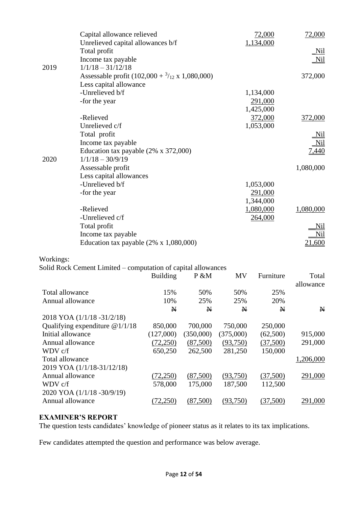|                   | Capital allowance relieved                                    |                 |           |              | 72,000               | 72,000       |
|-------------------|---------------------------------------------------------------|-----------------|-----------|--------------|----------------------|--------------|
|                   | Unrelieved capital allowances b/f                             |                 |           |              | 1,134,000            |              |
|                   | Total profit                                                  |                 |           |              |                      | Nil          |
|                   | Income tax payable                                            |                 |           |              |                      | <u>Nil</u>   |
| 2019              | $1/1/18 - 31/12/18$                                           |                 |           |              |                      |              |
|                   | Assessable profit $(102,000 + \frac{3}{12} \times 1,080,000)$ |                 |           |              |                      | 372,000      |
|                   | Less capital allowance                                        |                 |           |              |                      |              |
|                   | -Unrelieved b/f                                               |                 |           |              | 1,134,000            |              |
|                   | -for the year                                                 |                 |           |              | 291,000              |              |
|                   | -Relieved                                                     |                 |           |              | 1,425,000<br>372,000 |              |
|                   | Unrelieved c/f                                                |                 |           |              |                      | 372,000      |
|                   |                                                               |                 |           |              | 1,053,000            |              |
|                   | Total profit                                                  |                 |           |              |                      | Nil          |
|                   | Income tax payable                                            |                 |           |              |                      | <u>Nil</u>   |
| 2020              | Education tax payable (2% x 372,000)<br>$1/1/18 - 30/9/19$    |                 |           |              |                      | <u>7,440</u> |
|                   | Assessable profit                                             |                 |           |              |                      | 1,080,000    |
|                   | Less capital allowances                                       |                 |           |              |                      |              |
|                   | -Unrelieved b/f                                               |                 |           |              | 1,053,000            |              |
|                   | -for the year                                                 |                 |           |              | 291,000              |              |
|                   |                                                               |                 |           |              | 1,344,000            |              |
|                   | -Relieved                                                     |                 |           |              | 1,080,000            | 1,080,000    |
|                   | -Unrelieved c/f                                               |                 |           |              | 264,000              |              |
|                   | Total profit                                                  |                 |           |              |                      | <u>Nil</u>   |
|                   | Income tax payable                                            |                 |           |              |                      | <u>Nil</u>   |
|                   | Education tax payable $(2% \times 1,080,000)$                 |                 |           |              |                      | 21,600       |
|                   |                                                               |                 |           |              |                      |              |
| Workings:         |                                                               |                 |           |              |                      |              |
|                   | Solid Rock Cement Limited – computation of capital allowances |                 |           |              |                      |              |
|                   |                                                               | <b>Building</b> | P &M      | <b>MV</b>    | Furniture            | Total        |
|                   |                                                               |                 |           |              |                      | allowance    |
| Total allowance   |                                                               | 15%             | 50%       | 50%          | 25%                  |              |
| Annual allowance  |                                                               | 10%             | 25%       | 25%          | 20%                  |              |
|                   |                                                               | N               | N         | $\mathbf{N}$ | N                    | $\mathbf{N}$ |
|                   | 2018 YOA (1/1/18 -31/2/18)                                    |                 |           |              |                      |              |
|                   | Qualifying expenditure $@1/1/18$                              | 850,000         | 700,000   | 750,000      | 250,000              |              |
| Initial allowance |                                                               | (127,000)       | (350,000) | (375,000)    | (62,500)             | 915,000      |
| Annual allowance  |                                                               | (72,250)        | (87,500)  | (93,750)     | (37,500)             | 291,000      |
| WDV c/f           |                                                               | 650,250         | 262,500   | 281,250      | 150,000              |              |
| Total allowance   |                                                               |                 |           |              |                      | 1,206,000    |
|                   | 2019 YOA (1/1/18-31/12/18)                                    |                 |           |              |                      |              |
| Annual allowance  |                                                               | (72,250)        | (87,500)  | (93,750)     | (37,500)             | 291,000      |
| WDV c/f           |                                                               | 578,000         | 175,000   | 187,500      | 112,500              |              |
|                   | 2020 YOA (1/1/18 -30/9/19)                                    |                 |           |              |                      |              |
| Annual allowance  |                                                               | (72,250)        | (87,500)  | (93,750)     | (37,500)             | 291,000      |
|                   |                                                               |                 |           |              |                      |              |

# **EXAMINER'S REPORT**

The question tests candidates' knowledge of pioneer status as it relates to its tax implications.

Few candidates attempted the question and performance was below average.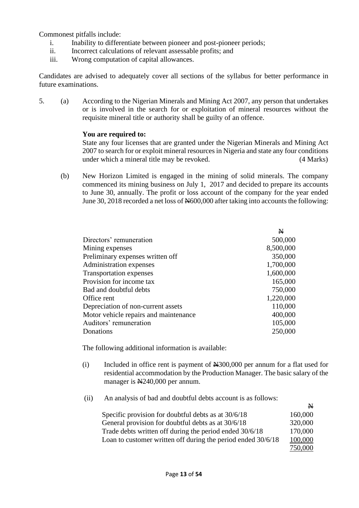Commonest pitfalls include:

- i. Inability to differentiate between pioneer and post-pioneer periods;
- ii. Incorrect calculations of relevant assessable profits; and
- iii. Wrong computation of capital allowances.

Candidates are advised to adequately cover all sections of the syllabus for better performance in future examinations.

5. (a) According to the Nigerian Minerals and Mining Act 2007, any person that undertakes or is involved in the search for or exploitation of mineral resources without the requisite mineral title or authority shall be guilty of an offence.

#### **You are required to:**

State any four licenses that are granted under the Nigerian Minerals and Mining Act 2007 to search for or exploit mineral resources in Nigeria and state any four conditions under which a mineral title may be revoked. (4 Marks)

(b) New Horizon Limited is engaged in the mining of solid minerals. The company commenced its mining business on July 1, 2017 and decided to prepare its accounts to June 30, annually. The profit or loss account of the company for the year ended June 30, 2018 recorded a net loss of  $\frac{N}{000,000}$  after taking into accounts the following:

|                                       | $\mathbf N$ |
|---------------------------------------|-------------|
| Directors' remuneration               | 500,000     |
| Mining expenses                       | 8,500,000   |
| Preliminary expenses written off      | 350,000     |
| Administration expenses               | 1,700,000   |
| <b>Transportation expenses</b>        | 1,600,000   |
| Provision for income tax              | 165,000     |
| Bad and doubtful debts                | 750,000     |
| Office rent                           | 1,220,000   |
| Depreciation of non-current assets    | 110,000     |
| Motor vehicle repairs and maintenance | 400,000     |
| Auditors' remuneration                | 105,000     |
| Donations                             | 250,000     |

The following additional information is available:

- (i) Included in office rent is payment of N300,000 per annum for a flat used for residential accommodation by the Production Manager. The basic salary of the manager is  $\mathbb{N}240,000$  per annum.
- (ii) An analysis of bad and doubtful debts account is as follows:

| $\overline{\phantom{a}}$                                                |
|-------------------------------------------------------------------------|
| 160,000                                                                 |
| 320,000                                                                 |
| 170,000                                                                 |
| Loan to customer written off during the period ended 30/6/18<br>100,000 |
| 750,000                                                                 |
|                                                                         |

**NT**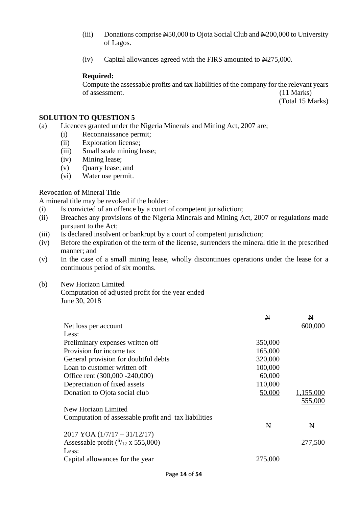- (iii) Donations comprise  $\frac{N50,000}{100}$  to Ojota Social Club and  $\frac{N200,000}{100}$  to University of Lagos.
- (iv) Capital allowances agreed with the FIRS amounted to  $\frac{1275,000}{1000}$ .

#### **Required:**

Compute the assessable profits and tax liabilities of the company for the relevant years of assessment. (11 Marks)

(Total 15 Marks)

#### **SOLUTION TO QUESTION 5**

- (a) Licences granted under the Nigeria Minerals and Mining Act, 2007 are;
	- (i) Reconnaissance permit;
	- (ii) Exploration license;
	- (iii) Small scale mining lease;
	- (iv) Mining lease;
	- (v) Quarry lease; and
	- (vi) Water use permit.

Revocation of Mineral Title

A mineral title may be revoked if the holder:

- (i) Is convicted of an offence by a court of competent jurisdiction;
- (ii) Breaches any provisions of the Nigeria Minerals and Mining Act, 2007 or regulations made pursuant to the Act;
- (iii) Is declared insolvent or bankrupt by a court of competent jurisdiction;
- (iv) Before the expiration of the term of the license, surrenders the mineral title in the prescribed manner; and
- (v) In the case of a small mining lease, wholly discontinues operations under the lease for a continuous period of six months.

## (b) New Horizon Limited

Computation of adjusted profit for the year ended June 30, 2018

|                                                      | N       | N            |
|------------------------------------------------------|---------|--------------|
| Net loss per account                                 |         | 600,000      |
| Less:                                                |         |              |
| Preliminary expenses written off                     | 350,000 |              |
| Provision for income tax                             | 165,000 |              |
| General provision for doubtful debts                 | 320,000 |              |
| Loan to customer written off                         | 100,000 |              |
| Office rent (300,000 -240,000)                       | 60,000  |              |
| Depreciation of fixed assets                         | 110,000 |              |
| Donation to Ojota social club                        | 50,000  | 1,155,000    |
|                                                      |         | 555,000      |
| New Horizon Limited                                  |         |              |
| Computation of assessable profit and tax liabilities |         |              |
|                                                      | N       | $\mathbf{N}$ |
| $2017$ YOA $(1/7/17 - 31/12/17)$                     |         |              |
| Assessable profit $(^{6}/_{12} \times 555,000)$      |         | 277,500      |
| Less:                                                |         |              |
| Capital allowances for the year                      | 275,000 |              |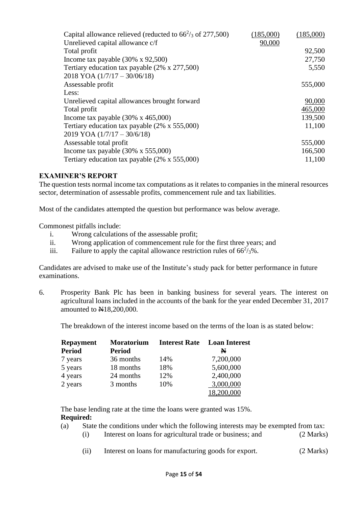| Capital allowance relieved (reducted to $66\frac{2}{3}$ of 277,500) | (185,000) | (185,000) |
|---------------------------------------------------------------------|-----------|-----------|
| Unrelieved capital allowance c/f                                    | 90,000    |           |
| Total profit                                                        |           | 92,500    |
| Income tax payable $(30\% \times 92,500)$                           |           | 27,750    |
| Tertiary education tax payable (2% x 277,500)                       |           | 5,550     |
| $2018$ YOA $(1/7/17 - 30/06/18)$                                    |           |           |
| Assessable profit                                                   |           | 555,000   |
| Less:                                                               |           |           |
| Unrelieved capital allowances brought forward                       |           | 90,000    |
| Total profit                                                        |           | 465,000   |
| Income tax payable $(30\% \times 465,000)$                          |           | 139,500   |
| Tertiary education tax payable $(2\% \times 555,000)$               |           | 11,100    |
| $2019$ YOA $(1/7/17 - 30/6/18)$                                     |           |           |
| Assessable total profit                                             |           | 555,000   |
| Income tax payable $(30\% \times 555,000)$                          |           | 166,500   |
| Tertiary education tax payable $(2\% \times 555,000)$               |           | 11,100    |

## **EXAMINER'S REPORT**

The question tests normal income tax computations as it relates to companies in the mineral resources sector, determination of assessable profits, commencement rule and tax liabilities.

Most of the candidates attempted the question but performance was below average.

Commonest pitfalls include:

- i. Wrong calculations of the assessable profit;
- ii. Wrong application of commencement rule for the first three years; and
- iii. Failure to apply the capital allowance restriction rules of  $66^2$ / $3\%$ .

Candidates are advised to make use of the Institute's study pack for better performance in future examinations.

6. Prosperity Bank Plc has been in banking business for several years. The interest on agricultural loans included in the accounts of the bank for the year ended December 31, 2017 amounted to  $\text{H}18,200,000$ .

The breakdown of the interest income based on the terms of the loan is as stated below:

| <b>Repayment</b> | <b>Moratorium</b> | <b>Interest Rate</b> | <b>Loan Interest</b> |
|------------------|-------------------|----------------------|----------------------|
| <b>Period</b>    | <b>Period</b>     |                      | N                    |
| 7 years          | 36 months         | 14%                  | 7,200,000            |
| 5 years          | 18 months         | 18%                  | 5,600,000            |
| 4 years          | 24 months         | 12%                  | 2,400,000            |
| 2 years          | 3 months          | 10%                  | 3,000,000            |
|                  |                   |                      | 18,200,000           |

The base lending rate at the time the loans were granted was 15%. **Required:**

- (a) State the conditions under which the following interests may be exempted from tax:
	- (i) Interest on loans for agricultural trade or business; and (2 Marks)
	- (ii) Interest on loans for manufacturing goods for export. (2 Marks)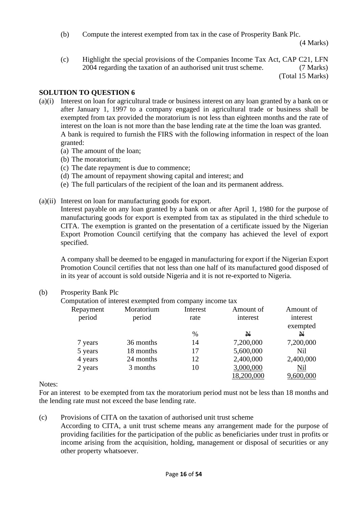(b) Compute the interest exempted from tax in the case of Prosperity Bank Plc.

(4 Marks)

(c) Highlight the special provisions of the Companies Income Tax Act, CAP C21, LFN 2004 regarding the taxation of an authorised unit trust scheme. (7 Marks)

(Total 15 Marks)

# **SOLUTION TO QUESTION 6**

- (a)(i) Interest on loan for agricultural trade or business interest on any loan granted by a bank on or after January 1, 1997 to a company engaged in agricultural trade or business shall be exempted from tax provided the moratorium is not less than eighteen months and the rate of interest on the loan is not more than the base lending rate at the time the loan was granted. A bank is required to furnish the FIRS with the following information in respect of the loan granted:
	- (a) The amount of the loan;
	- (b) The moratorium;
	- (c) The date repayment is due to commence;
	- (d) The amount of repayment showing capital and interest; and
	- (e) The full particulars of the recipient of the loan and its permanent address.
- (a)(ii) Interest on loan for manufacturing goods for export.

Interest payable on any loan granted by a bank on or after April 1, 1980 for the purpose of manufacturing goods for export is exempted from tax as stipulated in the third schedule to CITA. The exemption is granted on the presentation of a certificate issued by the Nigerian Export Promotion Council certifying that the company has achieved the level of export specified.

A company shall be deemed to be engaged in manufacturing for export if the Nigerian Export Promotion Council certifies that not less than one half of its manufactured good disposed of in its year of account is sold outside Nigeria and it is not re-exported to Nigeria.

|           | Computation of interest exempted from company income tax |          |            |              |
|-----------|----------------------------------------------------------|----------|------------|--------------|
| Repayment | Moratorium                                               | Interest | Amount of  | Amount of    |
| period    | period                                                   | rate     | interest   | interest     |
|           |                                                          |          |            | exempted     |
|           |                                                          | $\%$     | N          | $\mathbf{N}$ |
| 7 years   | 36 months                                                | 14       | 7,200,000  | 7,200,000    |
| 5 years   | 18 months                                                | 17       | 5,600,000  | <b>Nil</b>   |
| 4 years   | 24 months                                                | 12       | 2,400,000  | 2,400,000    |
| 2 years   | 3 months                                                 | 10       | 3,000,000  | Nil          |
|           |                                                          |          | 18,200,000 | 9,600,000    |

## (b) Prosperity Bank Plc

Notes:

For an interest to be exempted from tax the moratorium period must not be less than 18 months and the lending rate must not exceed the base lending rate.

(c) Provisions of CITA on the taxation of authorised unit trust scheme According to CITA, a unit trust scheme means any arrangement made for the purpose of providing facilities for the participation of the public as beneficiaries under trust in profits or income arising from the acquisition, holding, management or disposal of securities or any other property whatsoever.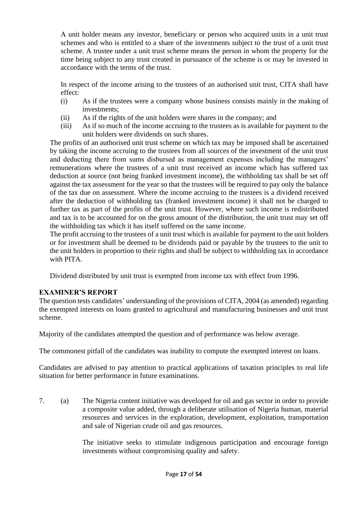A unit holder means any investor, beneficiary or person who acquired units in a unit trust schemes and who is entitled to a share of the investments subject to the trust of a unit trust scheme. A trustee under a unit trust scheme means the person in whom the property for the time being subject to any trust created in pursuance of the scheme is or may be invested in accordance with the terms of the trust.

In respect of the income arising to the trustees of an authorised unit trust, CITA shall have effect:

- (i) As if the trustees were a company whose business consists mainly in the making of investments;
- (ii) As if the rights of the unit holders were shares in the company; and
- (iii) As if so much of the income accruing to the trustees as is available for payment to the unit holders were dividends on such shares.

The profits of an authorised unit trust scheme on which tax may be imposed shall be ascertained by taking the income accruing to the trustees from all sources of the investment of the unit trust and deducting there from sums disbursed as management expenses including the managers' remunerations where the trustees of a unit trust received an income which has suffered tax deduction at source (not being franked investment income), the withholding tax shall be set off against the tax assessment for the year so that the trustees will be required to pay only the balance of the tax due on assessment. Where the income accruing to the trustees is a dividend received after the deduction of withholding tax (franked investment income) it shall not be charged to further tax as part of the profits of the unit trust. However, where such income is redistributed and tax is to be accounted for on the gross amount of the distribution, the unit trust may set off the withholding tax which it has itself suffered on the same income.

The profit accruing to the trustees of a unit trust which is available for payment to the unit holders or for investment shall be deemed to be dividends paid or payable by the trustees to the unit to the unit holders in proportion to their rights and shall be subject to withholding tax in accordance with PITA.

Dividend distributed by unit trust is exempted from income tax with effect from 1996.

# **EXAMINER'S REPORT**

The question tests candidates' understanding of the provisions of CITA, 2004 (as amended) regarding the exempted interests on loans granted to agricultural and manufacturing businesses and unit trust scheme.

Majority of the candidates attempted the question and of performance was below average.

The commonest pitfall of the candidates was inability to compute the exempted interest on loans.

Candidates are advised to pay attention to practical applications of taxation principles to real life situation for better performance in future examinations.

7. (a) The Nigeria content initiative was developed for oil and gas sector in order to provide a composite value added, through a deliberate utilisation of Nigeria human, material resources and services in the exploration, development, exploitation, transportation and sale of Nigerian crude oil and gas resources.

> The initiative seeks to stimulate indigenous participation and encourage foreign investments without compromising quality and safety.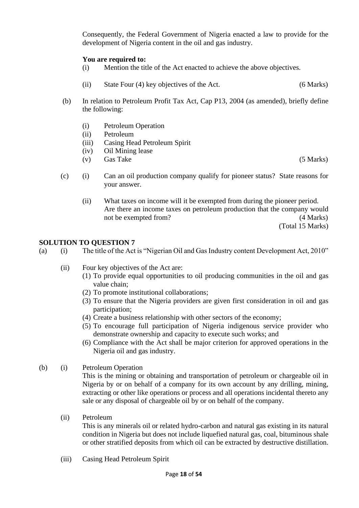Consequently, the Federal Government of Nigeria enacted a law to provide for the development of Nigeria content in the oil and gas industry.

## **You are required to:**

- (i) Mention the title of the Act enacted to achieve the above objectives.
- (ii) State Four (4) key objectives of the Act. (6 Marks)
- (b) In relation to Petroleum Profit Tax Act, Cap P13, 2004 (as amended), briefly define the following:
	- (i) Petroleum Operation
	- (ii) Petroleum
	- (iii) Casing Head Petroleum Spirit
	- (iv) Oil Mining lease
	- (v) Gas Take (5 Marks)

- (c) (i) Can an oil production company qualify for pioneer status? State reasons for your answer.
	- (ii) What taxes on income will it be exempted from during the pioneer period. Are there an income taxes on petroleum production that the company would not be exempted from? (4 Marks) (Total 15 Marks)

#### **SOLUTION TO QUESTION 7**

- (a) (i) The title of the Act is "Nigerian Oil and Gas Industry content Development Act, 2010"
	- (ii) Four key objectives of the Act are:
		- (1) To provide equal opportunities to oil producing communities in the oil and gas value chain;
		- (2) To promote institutional collaborations;
		- (3) To ensure that the Nigeria providers are given first consideration in oil and gas participation;
		- (4) Create a business relationship with other sectors of the economy;
		- (5) To encourage full participation of Nigeria indigenous service provider who demonstrate ownership and capacity to execute such works; and
		- (6) Compliance with the Act shall be major criterion for approved operations in the Nigeria oil and gas industry.
- (b) (i) Petroleum Operation

This is the mining or obtaining and transportation of petroleum or chargeable oil in Nigeria by or on behalf of a company for its own account by any drilling, mining, extracting or other like operations or process and all operations incidental thereto any sale or any disposal of chargeable oil by or on behalf of the company.

(ii) Petroleum

This is any minerals oil or related hydro-carbon and natural gas existing in its natural condition in Nigeria but does not include liquefied natural gas, coal, bituminous shale or other stratified deposits from which oil can be extracted by destructive distillation.

(iii) Casing Head Petroleum Spirit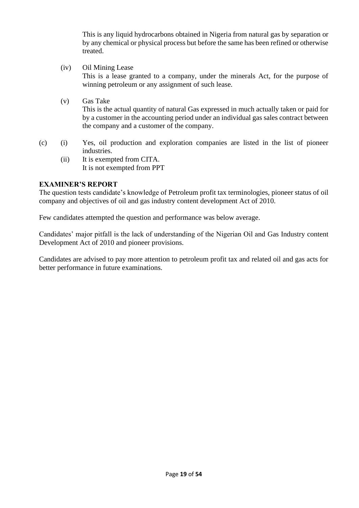This is any liquid hydrocarbons obtained in Nigeria from natural gas by separation or by any chemical or physical process but before the same has been refined or otherwise treated.

- (iv) Oil Mining Lease This is a lease granted to a company, under the minerals Act, for the purpose of winning petroleum or any assignment of such lease.
- (v) Gas Take This is the actual quantity of natural Gas expressed in much actually taken or paid for by a customer in the accounting period under an individual gas sales contract between the company and a customer of the company.
- (c) (i) Yes, oil production and exploration companies are listed in the list of pioneer industries.
	- (ii) It is exempted from CITA. It is not exempted from PPT

# **EXAMINER'S REPORT**

The question tests candidate's knowledge of Petroleum profit tax terminologies, pioneer status of oil company and objectives of oil and gas industry content development Act of 2010.

Few candidates attempted the question and performance was below average.

Candidates' major pitfall is the lack of understanding of the Nigerian Oil and Gas Industry content Development Act of 2010 and pioneer provisions.

Candidates are advised to pay more attention to petroleum profit tax and related oil and gas acts for better performance in future examinations.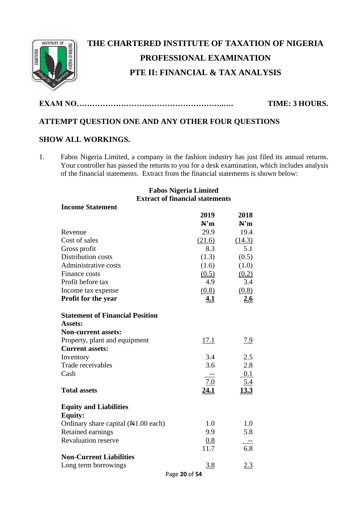

# **THE CHARTERED INSTITUTE OF TAXATION OF NIGERIA PROFESSIONAL EXAMINATION PTE II: FINANCIAL & TAX ANALYSIS**

**EXAM NO……………………….………………………..…. TIME: 3 HOURS.**

# **ATTEMPT QUESTION ONE AND ANY OTHER FOUR QUESTIONS**

# **SHOW ALL WORKINGS.**

**Income Statement**

1. Fabos Nigeria Limited, a company in the fashion industry has just filed its annual returns. Your controller has passed the returns to you for a desk examination, which includes analysis of the financial statements. Extract from the financial statements is shown below:

# **Fabos Nigeria Limited Extract of financial statements**

|                                               | 2019          | 2018        |
|-----------------------------------------------|---------------|-------------|
|                                               | N'm           | N'm         |
| Revenue                                       | 29.9          | 19.4        |
| Cost of sales                                 | (21.6)        | (14.3)      |
| Gross profit                                  | 8.3           | 5.1         |
| Distribution costs                            | (1.3)         | (0.5)       |
| Administrative costs                          | (1.6)         | (1.0)       |
| Finance costs                                 | (0.5)         | (0.2)       |
| Profit before tax                             | 4.9           | 3.4         |
| Income tax expense                            | (0.8)         | (0.8)       |
| <b>Profit for the year</b>                    | <u>4.1</u>    | 2.6         |
| <b>Statement of Financial Position</b>        |               |             |
| <b>Assets:</b>                                |               |             |
| <b>Non-current assets:</b>                    |               |             |
| Property, plant and equipment                 | <u>17.1</u>   | <u>7.9</u>  |
| <b>Current assets:</b>                        |               |             |
| Inventory                                     | 3.4           | 2.5         |
| Trade receivables                             | 3.6           | 2.8         |
| Cash                                          |               | 0.1         |
|                                               | 7.0           | 5.4         |
| <b>Total assets</b>                           | <u>24.1</u>   | <u>13.3</u> |
| <b>Equity and Liabilities</b>                 |               |             |
| <b>Equity:</b>                                |               |             |
| Ordinary share capital $(H1.00 \text{ each})$ | 1.0           | 1.0         |
| Retained earnings                             | 9.9           | 5.8         |
| <b>Revaluation reserve</b>                    | 0.8           | $-$         |
|                                               | 11.7          | 6.8         |
| <b>Non-Current Liabilities</b>                |               |             |
| Long term borrowings                          | 3.8           | <u>2.3</u>  |
|                                               | Page 20 of 54 |             |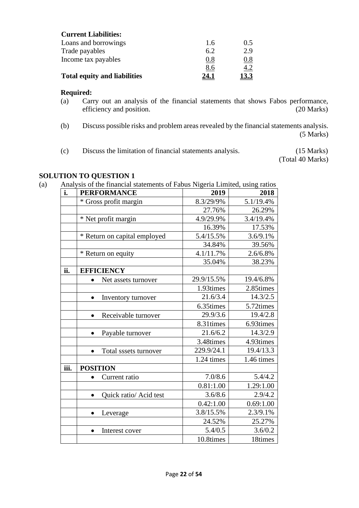| <b>Current Liabilities:</b>         |      |            |
|-------------------------------------|------|------------|
| Loans and borrowings                | 1.6  | 0.5        |
| Trade payables                      | 6.2  | 2.9        |
| Income tax payables                 | 0.8  | <u>0.8</u> |
|                                     | 8.6  | <u>4.2</u> |
| <b>Total equity and liabilities</b> | 24.1 | 13.3       |

#### **Required:**

- (a) Carry out an analysis of the financial statements that shows Fabos performance, efficiency and position. (20 Marks)
- (b) Discuss possible risks and problem areas revealed by the financial statements analysis. (5 Marks)
- (c) Discuss the limitation of financial statements analysis. (15 Marks)

(Total 40 Marks)

# **SOLUTION TO QUESTION 1**

(a) Analysis of the financial statements of Fabus Nigeria Limited, using ratios

| i.   | <b>PERFORMANCE</b>                  | 2019       | 2018       |
|------|-------------------------------------|------------|------------|
|      | * Gross profit margin               | 8.3/29/9%  | 5.1/19.4%  |
|      |                                     | 27.76%     | 26.29%     |
|      | * Net profit margin                 | 4.9/29.9%  | 3.4/19.4%  |
|      |                                     | 16.39%     | 17.53%     |
|      | * Return on capital employed        | 5.4/15.5%  | 3.6/9.1%   |
|      |                                     | 34.84%     | 39.56%     |
|      | * Return on equity                  | 4.1/11.7%  | 2.6/6.8%   |
|      |                                     | 35.04%     | 38.23%     |
| ii.  | <b>EFFICIENCY</b>                   |            |            |
|      | Net assets turnover                 | 29.9/15.5% | 19.4/6.8%  |
|      |                                     | 1.93times  | 2.85times  |
|      | Inventory turnover<br>$\bullet$     | 21.6/3.4   | 14.3/2.5   |
|      |                                     | 6.35times  | 5.72times  |
|      | Receivable turnover<br>$\bullet$    | 29.9/3.6   | 19.4/2.8   |
|      |                                     | 8.31times  | 6.93times  |
|      | Payable turnover                    | 21.6/6.2   | 14.3/2.9   |
|      |                                     | 3.48times  | 4.93times  |
|      | Total sssets turnover<br>$\bullet$  | 229.9/24.1 | 19.4/13.3  |
|      |                                     | 1.24 times | 1.46 times |
| iii. | <b>POSITION</b>                     |            |            |
|      | Current ratio                       | 7.0/8.6    | 5.4/4.2    |
|      |                                     | 0.81:1.00  | 1.29:1.00  |
|      | Quick ratio/ Acid test<br>$\bullet$ | 3.6/8.6    | 2.9/4.2    |
|      |                                     | 0.42:1.00  | 0.69:1.00  |
|      | Leverage<br>$\bullet$               | 3.8/15.5%  | 2.3/9.1%   |
|      |                                     | 24.52%     | 25.27%     |
|      | Interest cover<br>$\bullet$         | 5.4/0.5    | 3.6/0.2    |
|      |                                     | 10.8times  | 18times    |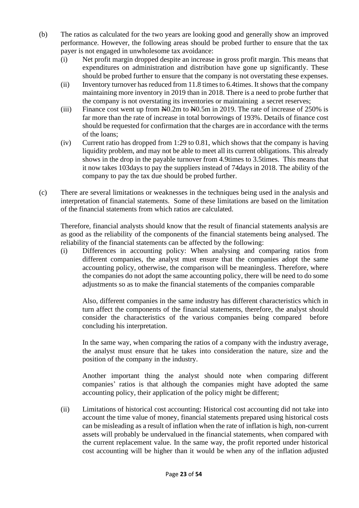- (b) The ratios as calculated for the two years are looking good and generally show an improved performance. However, the following areas should be probed further to ensure that the tax payer is not engaged in unwholesome tax avoidance:
	- (i) Net profit margin dropped despite an increase in gross profit margin. This means that expenditures on administration and distribution have gone up significantly. These should be probed further to ensure that the company is not overstating these expenses.
	- (ii) Inventory turnover has reduced from 11.8 times to 6.4times. It shows that the company maintaining more inventory in 2019 than in 2018. There is a need to probe further that the company is not overstating its inventories or maintaining a secret reserves;
	- (iii) Finance cost went up from  $\frac{100}{20}$  To  $\frac{100}{20}$  in 2019. The rate of increase of 250% is far more than the rate of increase in total borrowings of 193%. Details of finance cost should be requested for confirmation that the charges are in accordance with the terms of the loans;
	- (iv) Current ratio has dropped from 1:29 to 0.81, which shows that the company is having liquidity problem, and may not be able to meet all its current obligations. This already shows in the drop in the payable turnover from 4.9times to 3.5times. This means that it now takes 103days to pay the suppliers instead of 74days in 2018. The ability of the company to pay the tax due should be probed further.
- (c) There are several limitations or weaknesses in the techniques being used in the analysis and interpretation of financial statements. Some of these limitations are based on the limitation of the financial statements from which ratios are calculated.

Therefore, financial analysts should know that the result of financial statements analysis are as good as the reliability of the components of the financial statements being analysed. The reliability of the financial statements can be affected by the following:

(i) Differences in accounting policy: When analysing and comparing ratios from different companies, the analyst must ensure that the companies adopt the same accounting policy, otherwise, the comparison will be meaningless. Therefore, where the companies do not adopt the same accounting policy, there will be need to do some adjustments so as to make the financial statements of the companies comparable

Also, different companies in the same industry has different characteristics which in turn affect the components of the financial statements, therefore, the analyst should consider the characteristics of the various companies being compared before concluding his interpretation.

In the same way, when comparing the ratios of a company with the industry average, the analyst must ensure that he takes into consideration the nature, size and the position of the company in the industry.

Another important thing the analyst should note when comparing different companies' ratios is that although the companies might have adopted the same accounting policy, their application of the policy might be different;

(ii) Limitations of historical cost accounting: Historical cost accounting did not take into account the time value of money, financial statements prepared using historical costs can be misleading as a result of inflation when the rate of inflation is high, non-current assets will probably be undervalued in the financial statements, when compared with the current replacement value. In the same way, the profit reported under historical cost accounting will be higher than it would be when any of the inflation adjusted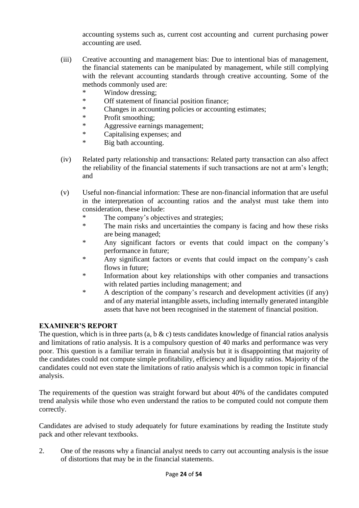accounting systems such as, current cost accounting and current purchasing power accounting are used.

- (iii) Creative accounting and management bias: Due to intentional bias of management, the financial statements can be manipulated by management, while still complying with the relevant accounting standards through creative accounting. Some of the methods commonly used are:
	- \* Window dressing;
	- \* Off statement of financial position finance;
	- \* Changes in accounting policies or accounting estimates;
	- \* Profit smoothing;
	- \* Aggressive earnings management;
	- \* Capitalising expenses; and
	- \* Big bath accounting.
- (iv) Related party relationship and transactions: Related party transaction can also affect the reliability of the financial statements if such transactions are not at arm's length; and
- (v) Useful non-financial information: These are non-financial information that are useful in the interpretation of accounting ratios and the analyst must take them into consideration, these include:
	- \* The company's objectives and strategies;
	- \* The main risks and uncertainties the company is facing and how these risks are being managed;
	- \* Any significant factors or events that could impact on the company's performance in future;
	- \* Any significant factors or events that could impact on the company's cash flows in future;
	- \* Information about key relationships with other companies and transactions with related parties including management; and
	- \* A description of the company's research and development activities (if any) and of any material intangible assets, including internally generated intangible assets that have not been recognised in the statement of financial position.

# **EXAMINER'S REPORT**

The question, which is in three parts (a, b  $\&$  c) tests candidates knowledge of financial ratios analysis and limitations of ratio analysis. It is a compulsory question of 40 marks and performance was very poor. This question is a familiar terrain in financial analysis but it is disappointing that majority of the candidates could not compute simple profitability, efficiency and liquidity ratios. Majority of the candidates could not even state the limitations of ratio analysis which is a common topic in financial analysis.

The requirements of the question was straight forward but about 40% of the candidates computed trend analysis while those who even understand the ratios to be computed could not compute them correctly.

Candidates are advised to study adequately for future examinations by reading the Institute study pack and other relevant textbooks.

2. One of the reasons why a financial analyst needs to carry out accounting analysis is the issue of distortions that may be in the financial statements.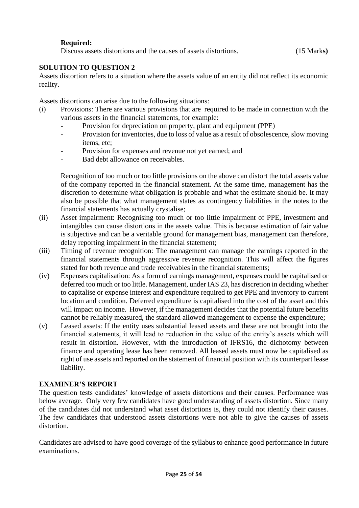## **Required:**

Discuss assets distortions and the causes of assets distortions. (15 Mark**s)**

## **SOLUTION TO QUESTION 2**

Assets distortion refers to a situation where the assets value of an entity did not reflect its economic reality.

Assets distortions can arise due to the following situations:

- (i) Provisions: There are various provisions that are required to be made in connection with the various assets in the financial statements, for example:
	- Provision for depreciation on property, plant and equipment (PPE)
	- Provision for inventories, due to loss of value as a result of obsolescence, slow moving items, etc;
	- Provision for expenses and revenue not yet earned; and
	- Bad debt allowance on receivables.

Recognition of too much or too little provisions on the above can distort the total assets value of the company reported in the financial statement. At the same time, management has the discretion to determine what obligation is probable and what the estimate should be. It may also be possible that what management states as contingency liabilities in the notes to the financial statements has actually crystalise;

- (ii) Asset impairment: Recognising too much or too little impairment of PPE, investment and intangibles can cause distortions in the assets value. This is because estimation of fair value is subjective and can be a veritable ground for management bias, management can therefore, delay reporting impairment in the financial statement;
- (iii) Timing of revenue recognition: The management can manage the earnings reported in the financial statements through aggressive revenue recognition. This will affect the figures stated for both revenue and trade receivables in the financial statements;
- (iv) Expenses capitalisation: As a form of earnings management, expenses could be capitalised or deferred too much or too little. Management, under IAS 23, has discretion in deciding whether to capitalise or expense interest and expenditure required to get PPE and inventory to current location and condition. Deferred expenditure is capitalised into the cost of the asset and this will impact on income. However, if the management decides that the potential future benefits cannot be reliably measured, the standard allowed management to expense the expenditure;
- (v) Leased assets: If the entity uses substantial leased assets and these are not brought into the financial statements, it will lead to reduction in the value of the entity's assets which will result in distortion. However, with the introduction of IFRS16, the dichotomy between finance and operating lease has been removed. All leased assets must now be capitalised as right of use assets and reported on the statement of financial position with its counterpart lease liability.

## **EXAMINER'S REPORT**

The question tests candidates' knowledge of assets distortions and their causes. Performance was below average. Only very few candidates have good understanding of assets distortion. Since many of the candidates did not understand what asset distortions is, they could not identify their causes. The few candidates that understood assets distortions were not able to give the causes of assets distortion.

Candidates are advised to have good coverage of the syllabus to enhance good performance in future examinations.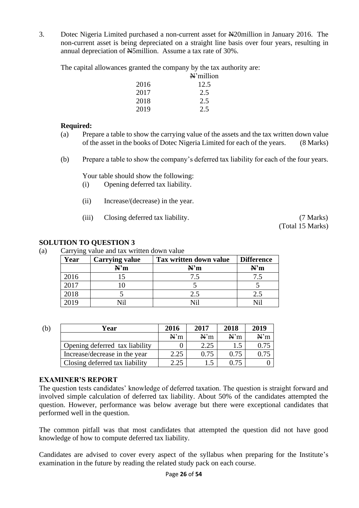3. Dotec Nigeria Limited purchased a non-current asset for N20million in January 2016. The non-current asset is being depreciated on a straight line basis over four years, resulting in annual depreciation of Net Smillion. Assume a tax rate of 30%.

The capital allowances granted the company by the tax authority are:

|      | $\mathbb{N}^{\cdot}$ million |
|------|------------------------------|
| 2016 | 12.5                         |
| 2017 | 2.5                          |
| 2018 | 2.5                          |
| 2019 | 2.5                          |

#### **Required:**

- (a) Prepare a table to show the carrying value of the assets and the tax written down value of the asset in the books of Dotec Nigeria Limited for each of the years. (8 Marks)
- (b) Prepare a table to show the company's deferred tax liability for each of the four years.

Your table should show the following:

- (i) Opening deferred tax liability.
- (ii) Increase/(decrease) in the year.
- (iii) Closing deferred tax liability. (7 Marks)

(Total 15 Marks)

#### **SOLUTION TO QUESTION 3**

(a) Carrying value and tax written down value

| Year       | <b>Carrying value</b> | Tax written down value | <b>Difference</b> |
|------------|-----------------------|------------------------|-------------------|
|            | N'm                   | N'm                    | N'm               |
| 2016       |                       |                        |                   |
| 2017       |                       |                        |                   |
| 2018       |                       | 2.5                    |                   |
| <b>019</b> |                       | NT∷                    |                   |

| (b) | Year                           | 2016 | 2017 | 2018 | 2019 |
|-----|--------------------------------|------|------|------|------|
|     |                                | N'm  | N'm  | N'm  | N'm  |
|     | Opening deferred tax liability |      | 2.25 |      |      |
|     | Increase/decrease in the year  | 2.25 | 0.75 |      |      |
|     | Closing deferred tax liability | 2.25 |      |      |      |

#### **EXAMINER'S REPORT**

The question tests candidates' knowledge of deferred taxation. The question is straight forward and involved simple calculation of deferred tax liability. About 50% of the candidates attempted the question. However, performance was below average but there were exceptional candidates that performed well in the question.

The common pitfall was that most candidates that attempted the question did not have good knowledge of how to compute deferred tax liability.

Candidates are advised to cover every aspect of the syllabus when preparing for the Institute's examination in the future by reading the related study pack on each course.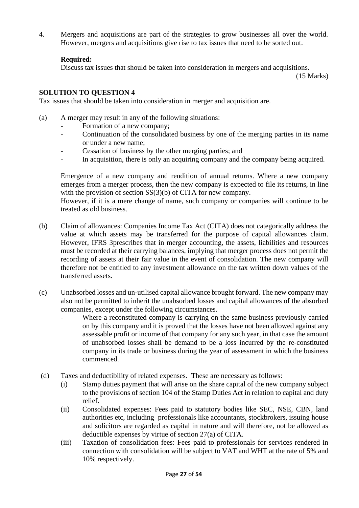4. Mergers and acquisitions are part of the strategies to grow businesses all over the world. However, mergers and acquisitions give rise to tax issues that need to be sorted out.

## **Required:**

Discuss tax issues that should be taken into consideration in mergers and acquisitions.

(15 Marks)

## **SOLUTION TO QUESTION 4**

Tax issues that should be taken into consideration in merger and acquisition are.

- (a) A merger may result in any of the following situations:
	- Formation of a new company;
	- Continuation of the consolidated business by one of the merging parties in its name or under a new name;
	- Cessation of business by the other merging parties; and
	- In acquisition, there is only an acquiring company and the company being acquired.

Emergence of a new company and rendition of annual returns. Where a new company emerges from a merger process, then the new company is expected to file its returns, in line with the provision of section  $SS(3)(b)$  of CITA for new company.

However, if it is a mere change of name, such company or companies will continue to be treated as old business.

- (b) Claim of allowances: Companies Income Tax Act (CITA) does not categorically address the value at which assets may be transferred for the purpose of capital allowances claim. However, IFRS 3prescribes that in merger accounting, the assets, liabilities and resources must be recorded at their carrying balances, implying that merger process does not permit the recording of assets at their fair value in the event of consolidation. The new company will therefore not be entitled to any investment allowance on the tax written down values of the transferred assets.
- (c) Unabsorbed losses and un-utilised capital allowance brought forward. The new company may also not be permitted to inherit the unabsorbed losses and capital allowances of the absorbed companies, except under the following circumstances.
	- Where a reconstituted company is carrying on the same business previously carried on by this company and it is proved that the losses have not been allowed against any assessable profit or income of that company for any such year, in that case the amount of unabsorbed losses shall be demand to be a loss incurred by the re-constituted company in its trade or business during the year of assessment in which the business commenced.
- (d) Taxes and deductibility of related expenses. These are necessary as follows:
	- (i) Stamp duties payment that will arise on the share capital of the new company subject to the provisions of section 104 of the Stamp Duties Act in relation to capital and duty relief.
	- (ii) Consolidated expenses: Fees paid to statutory bodies like SEC, NSE, CBN, land authorities etc, including professionals like accountants, stockbrokers, issuing house and solicitors are regarded as capital in nature and will therefore, not be allowed as deductible expenses by virtue of section 27(a) of CITA.
	- (iii) Taxation of consolidation fees: Fees paid to professionals for services rendered in connection with consolidation will be subject to VAT and WHT at the rate of 5% and 10% respectively.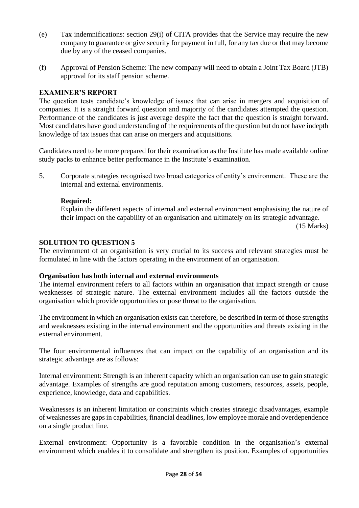- (e) Tax indemnifications: section 29(i) of CITA provides that the Service may require the new company to guarantee or give security for payment in full, for any tax due or that may become due by any of the ceased companies.
- (f) Approval of Pension Scheme: The new company will need to obtain a Joint Tax Board (JTB) approval for its staff pension scheme.

## **EXAMINER'S REPORT**

The question tests candidate's knowledge of issues that can arise in mergers and acquisition of companies. It is a straight forward question and majority of the candidates attempted the question. Performance of the candidates is just average despite the fact that the question is straight forward. Most candidates have good understanding of the requirements of the question but do not have indepth knowledge of tax issues that can arise on mergers and acquisitions.

Candidates need to be more prepared for their examination as the Institute has made available online study packs to enhance better performance in the Institute's examination.

5. Corporate strategies recognised two broad categories of entity's environment. These are the internal and external environments.

## **Required:**

Explain the different aspects of internal and external environment emphasising the nature of their impact on the capability of an organisation and ultimately on its strategic advantage.

(15 Marks)

#### **SOLUTION TO QUESTION 5**

The environment of an organisation is very crucial to its success and relevant strategies must be formulated in line with the factors operating in the environment of an organisation.

## **Organisation has both internal and external environments**

The internal environment refers to all factors within an organisation that impact strength or cause weaknesses of strategic nature. The external environment includes all the factors outside the organisation which provide opportunities or pose threat to the organisation.

The environment in which an organisation exists can therefore, be described in term of those strengths and weaknesses existing in the internal environment and the opportunities and threats existing in the external environment.

The four environmental influences that can impact on the capability of an organisation and its strategic advantage are as follows:

Internal environment: Strength is an inherent capacity which an organisation can use to gain strategic advantage. Examples of strengths are good reputation among customers, resources, assets, people, experience, knowledge, data and capabilities.

Weaknesses is an inherent limitation or constraints which creates strategic disadvantages, example of weaknesses are gaps in capabilities, financial deadlines, low employee morale and overdependence on a single product line.

External environment: Opportunity is a favorable condition in the organisation's external environment which enables it to consolidate and strengthen its position. Examples of opportunities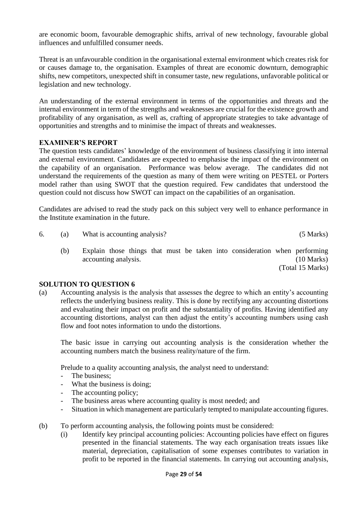are economic boom, favourable demographic shifts, arrival of new technology, favourable global influences and unfulfilled consumer needs.

Threat is an unfavourable condition in the organisational external environment which creates risk for or causes damage to, the organisation. Examples of threat are economic downturn, demographic shifts, new competitors, unexpected shift in consumer taste, new regulations, unfavorable political or legislation and new technology.

An understanding of the external environment in terms of the opportunities and threats and the internal environment in term of the strengths and weaknesses are crucial for the existence growth and profitability of any organisation, as well as, crafting of appropriate strategies to take advantage of opportunities and strengths and to minimise the impact of threats and weaknesses.

## **EXAMINER'S REPORT**

The question tests candidates' knowledge of the environment of business classifying it into internal and external environment. Candidates are expected to emphasise the impact of the environment on the capability of an organisation. Performance was below average. The candidates did not understand the requirements of the question as many of them were writing on PESTEL or Porters model rather than using SWOT that the question required. Few candidates that understood the question could not discuss how SWOT can impact on the capabilities of an organisation.

Candidates are advised to read the study pack on this subject very well to enhance performance in the Institute examination in the future.

6. (a) What is accounting analysis? (5 Marks)

(b) Explain those things that must be taken into consideration when performing accounting analysis. (10 Marks) (Total 15 Marks)

## **SOLUTION TO QUESTION 6**

(a) Accounting analysis is the analysis that assesses the degree to which an entity's accounting reflects the underlying business reality. This is done by rectifying any accounting distortions and evaluating their impact on profit and the substantiality of profits. Having identified any accounting distortions, analyst can then adjust the entity's accounting numbers using cash flow and foot notes information to undo the distortions.

The basic issue in carrying out accounting analysis is the consideration whether the accounting numbers match the business reality/nature of the firm.

Prelude to a quality accounting analysis, the analyst need to understand:

- The business;
- What the business is doing;
- The accounting policy;
- The business areas where accounting quality is most needed; and
- Situation in which management are particularly tempted to manipulate accounting figures.
- (b) To perform accounting analysis, the following points must be considered:
	- (i) Identify key principal accounting policies: Accounting policies have effect on figures presented in the financial statements. The way each organisation treats issues like material, depreciation, capitalisation of some expenses contributes to variation in profit to be reported in the financial statements. In carrying out accounting analysis,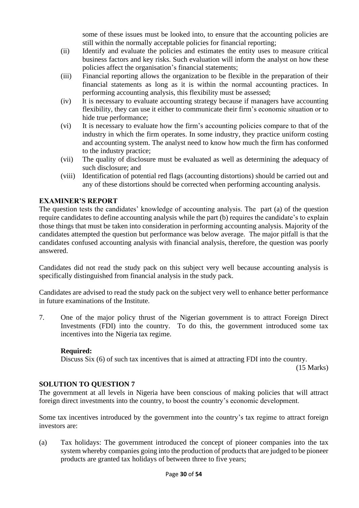some of these issues must be looked into, to ensure that the accounting policies are still within the normally acceptable policies for financial reporting;

- (ii) Identify and evaluate the policies and estimates the entity uses to measure critical business factors and key risks. Such evaluation will inform the analyst on how these policies affect the organisation's financial statements;
- (iii) Financial reporting allows the organization to be flexible in the preparation of their financial statements as long as it is within the normal accounting practices. In performing accounting analysis, this flexibility must be assessed;
- (iv) It is necessary to evaluate accounting strategy because if managers have accounting flexibility, they can use it either to communicate their firm's economic situation or to hide true performance;
- (vi) It is necessary to evaluate how the firm's accounting policies compare to that of the industry in which the firm operates. In some industry, they practice uniform costing and accounting system. The analyst need to know how much the firm has conformed to the industry practice;
- (vii) The quality of disclosure must be evaluated as well as determining the adequacy of such disclosure; and
- (viii) Identification of potential red flags (accounting distortions) should be carried out and any of these distortions should be corrected when performing accounting analysis.

# **EXAMINER'S REPORT**

The question tests the candidates' knowledge of accounting analysis. The part (a) of the question require candidates to define accounting analysis while the part (b) requires the candidate's to explain those things that must be taken into consideration in performing accounting analysis. Majority of the candidates attempted the question but performance was below average. The major pitfall is that the candidates confused accounting analysis with financial analysis, therefore, the question was poorly answered.

Candidates did not read the study pack on this subject very well because accounting analysis is specifically distinguished from financial analysis in the study pack.

Candidates are advised to read the study pack on the subject very well to enhance better performance in future examinations of the Institute.

7. One of the major policy thrust of the Nigerian government is to attract Foreign Direct Investments (FDI) into the country. To do this, the government introduced some tax incentives into the Nigeria tax regime.

## **Required:**

Discuss Six (6) of such tax incentives that is aimed at attracting FDI into the country.

(15 Marks)

# **SOLUTION TO QUESTION 7**

The government at all levels in Nigeria have been conscious of making policies that will attract foreign direct investments into the country, to boost the country's economic development.

Some tax incentives introduced by the government into the country's tax regime to attract foreign investors are:

(a) Tax holidays: The government introduced the concept of pioneer companies into the tax system whereby companies going into the production of products that are judged to be pioneer products are granted tax holidays of between three to five years;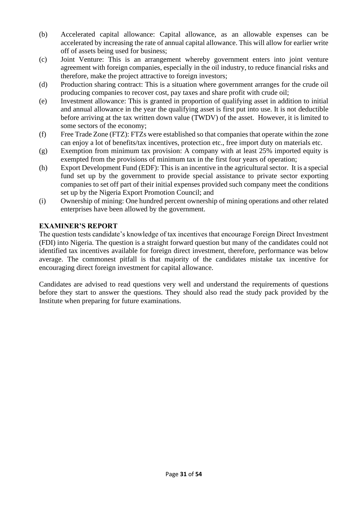- (b) Accelerated capital allowance: Capital allowance, as an allowable expenses can be accelerated by increasing the rate of annual capital allowance. This will allow for earlier write off of assets being used for business;
- (c) Joint Venture: This is an arrangement whereby government enters into joint venture agreement with foreign companies, especially in the oil industry, to reduce financial risks and therefore, make the project attractive to foreign investors;
- (d) Production sharing contract: This is a situation where government arranges for the crude oil producing companies to recover cost, pay taxes and share profit with crude oil;
- (e) Investment allowance: This is granted in proportion of qualifying asset in addition to initial and annual allowance in the year the qualifying asset is first put into use. It is not deductible before arriving at the tax written down value (TWDV) of the asset. However, it is limited to some sectors of the economy;
- (f) Free Trade Zone (FTZ): FTZs were established so that companies that operate within the zone can enjoy a lot of benefits/tax incentives, protection etc., free import duty on materials etc.
- (g) Exemption from minimum tax provision: A company with at least 25% imported equity is exempted from the provisions of minimum tax in the first four years of operation;
- (h) Export Development Fund (EDF): This is an incentive in the agricultural sector. It is a special fund set up by the government to provide special assistance to private sector exporting companies to set off part of their initial expenses provided such company meet the conditions set up by the Nigeria Export Promotion Council; and
- (i) Ownership of mining: One hundred percent ownership of mining operations and other related enterprises have been allowed by the government.

## **EXAMINER'S REPORT**

The question tests candidate's knowledge of tax incentives that encourage Foreign Direct Investment (FDI) into Nigeria. The question is a straight forward question but many of the candidates could not identified tax incentives available for foreign direct investment, therefore, performance was below average. The commonest pitfall is that majority of the candidates mistake tax incentive for encouraging direct foreign investment for capital allowance.

Candidates are advised to read questions very well and understand the requirements of questions before they start to answer the questions. They should also read the study pack provided by the Institute when preparing for future examinations.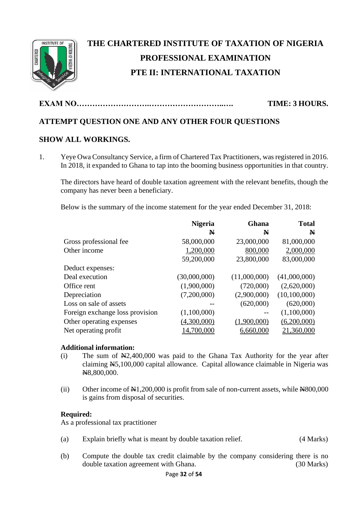

# **THE CHARTERED INSTITUTE OF TAXATION OF NIGERIA PROFESSIONAL EXAMINATION PTE II: INTERNATIONAL TAXATION**

**EXAM NO……………………….………………………..…. TIME: 3 HOURS.**

# **ATTEMPT QUESTION ONE AND ANY OTHER FOUR QUESTIONS**

# **SHOW ALL WORKINGS.**

1. Yeye Owa Consultancy Service, a firm of Chartered Tax Practitioners, was registered in 2016. In 2018, it expanded to Ghana to tap into the booming business opportunities in that country.

The directors have heard of double taxation agreement with the relevant benefits, though the company has never been a beneficiary.

Below is the summary of the income statement for the year ended December 31, 2018:

|                                 | <b>Nigeria</b> | Ghana        | <b>Total</b> |
|---------------------------------|----------------|--------------|--------------|
|                                 | N              | N            | $\mathbf{N}$ |
| Gross professional fee          | 58,000,000     | 23,000,000   | 81,000,000   |
| Other income                    | 1,200,000      | 800,000      | 2,000,000    |
|                                 | 59,200,000     | 23,800,000   | 83,000,000   |
| Deduct expenses:                |                |              |              |
| Deal execution                  | (30,000,000)   | (11,000,000) | (41,000,000) |
| Office rent                     | (1,900,000)    | (720,000)    | (2,620,000)  |
| Depreciation                    | (7,200,000)    | (2,900,000)  | (10,100,000) |
| Loss on sale of assets          |                | (620,000)    | (620,000)    |
| Foreign exchange loss provision | (1,100,000)    |              | (1,100,000)  |
| Other operating expenses        | (4,300,000)    | (1,900,000)  | (6,200,000)  |
| Net operating profit            | 14,700,000     | 6,660,000    | 21,360,000   |

## **Additional information:**

- (i) The sum of  $\mathbb{N}2,400,000$  was paid to the Ghana Tax Authority for the year after claiming N5,100,000 capital allowance. Capital allowance claimable in Nigeria was N8,800,000.
- (ii) Other income of  $\text{\#}1,200,000$  is profit from sale of non-current assets, while  $\text{\#}800,000$ is gains from disposal of securities.

## **Required:**

As a professional tax practitioner

- (a) Explain briefly what is meant by double taxation relief. (4 Marks)
- (b) Compute the double tax credit claimable by the company considering there is no double taxation agreement with Ghana. (30 Marks)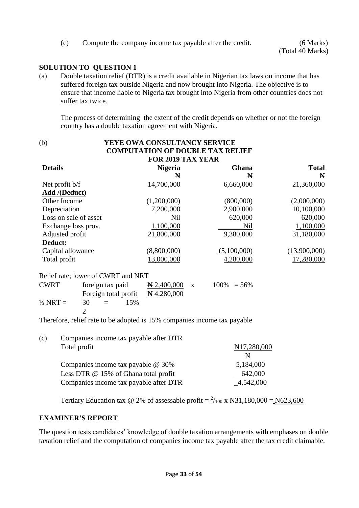(c) Compute the company income tax payable after the credit. (6 Marks)

## **SOLUTION TO QUESTION 1**

(a) Double taxation relief (DTR) is a credit available in Nigerian tax laws on income that has suffered foreign tax outside Nigeria and now brought into Nigeria. The objective is to ensure that income liable to Nigeria tax brought into Nigeria from other countries does not suffer tax twice.

The process of determining the extent of the credit depends on whether or not the foreign country has a double taxation agreement with Nigeria.

| (b)                                                       | <b>YEYE OWA CONSULTANCY SERVICE</b>                                            |                |              |
|-----------------------------------------------------------|--------------------------------------------------------------------------------|----------------|--------------|
|                                                           | <b>COMPUTATION OF DOUBLE TAX RELIEF</b>                                        |                |              |
|                                                           | <b>FOR 2019 TAX YEAR</b>                                                       |                |              |
| <b>Details</b>                                            | <b>Nigeria</b>                                                                 | Ghana          | <b>Total</b> |
|                                                           | N                                                                              | N              | N            |
| Net profit $b/f$                                          | 14,700,000                                                                     | 6,660,000      | 21,360,000   |
| <b>Add</b> /(Deduct)                                      |                                                                                |                |              |
| Other Income                                              | (1,200,000)                                                                    | (800,000)      | (2,000,000)  |
| Depreciation                                              | 7,200,000                                                                      | 2,900,000      | 10,100,000   |
| Loss on sale of asset                                     | Nil                                                                            | 620,000        | 620,000      |
| Exchange loss prov.                                       | 1,100,000                                                                      | Nil            | 1,100,000    |
| Adjusted profit                                           | 21,800,000                                                                     | 9,380,000      | 31,180,000   |
| Deduct:                                                   |                                                                                |                |              |
| Capital allowance                                         | (8,800,000)                                                                    | (5,100,000)    | (13,900,000) |
| Total profit                                              | 13,000,000                                                                     | 4,280,000      | 17,280,000   |
| Relief rate; lower of CWRT and NRT                        |                                                                                |                |              |
| <b>CWRT</b><br>foreign tax paid                           | $\mathbf{N} 2,400,000$<br>X                                                    | $100\% = 56\%$ |              |
| Foreign total profit                                      | $\mathbf{N}$ 4,280,000                                                         |                |              |
| $\frac{1}{2}$ NRT =<br><u>30</u><br>$=$<br>$\overline{2}$ | 15%                                                                            |                |              |
|                                                           | Therefore, relief rate to be edented in $150/$ companies income toy neverthere |                |              |

Therefore, relief rate to be adopted is 15% companies income tax payable

| (c) | Companies income tax payable after DTR |             |
|-----|----------------------------------------|-------------|
|     | Total profit                           | N17,280,000 |
|     |                                        | N           |
|     | Companies income tax payable $@30\%$   | 5,184,000   |
|     | Less DTR @ 15% of Ghana total profit   | 642,000     |
|     | Companies income tax payable after DTR | 4.542.000   |

Tertiary Education tax @ 2% of assessable profit =  $^{2}/_{100}$  x N31,180,000 = N623,600

#### **EXAMINER'S REPORT**

The question tests candidates' knowledge of double taxation arrangements with emphases on double taxation relief and the computation of companies income tax payable after the tax credit claimable.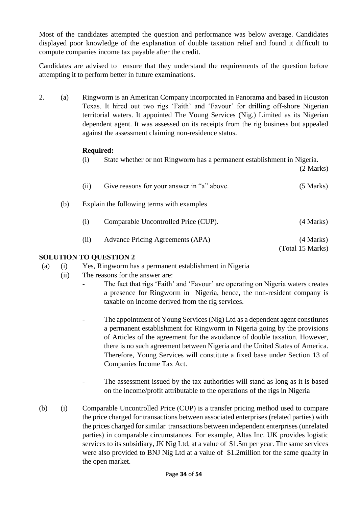Most of the candidates attempted the question and performance was below average. Candidates displayed poor knowledge of the explanation of double taxation relief and found it difficult to compute companies income tax payable after the credit.

Candidates are advised to ensure that they understand the requirements of the question before attempting it to perform better in future examinations.

2. (a) Ringworm is an American Company incorporated in Panorama and based in Houston Texas. It hired out two rigs 'Faith' and 'Favour' for drilling off-shore Nigerian territorial waters. It appointed The Young Services (Nig.) Limited as its Nigerian dependent agent. It was assessed on its receipts from the rig business but appealed against the assessment claiming non-residence status.

## **Required:**

(i) State whether or not Ringworm has a permanent establishment in Nigeria.

(2 Marks)

|     | (11)               | Give reasons for your answer in "a" above. | $(5$ Marks)                   |
|-----|--------------------|--------------------------------------------|-------------------------------|
| (b) |                    | Explain the following terms with examples  |                               |
|     | $\left( 1 \right)$ | Comparable Uncontrolled Price (CUP).       | (4 Marks)                     |
|     | (11)               | Advance Pricing Agreements (APA)           | (4 Marks)<br>(Total 15 Marks) |
|     |                    |                                            |                               |

- (a) (i) Yes, Ringworm has a permanent establishment in Nigeria
	- (ii) The reasons for the answer are:
		- **-** The fact that rigs 'Faith' and 'Favour' are operating on Nigeria waters creates a presence for Ringworm in Nigeria, hence, the non-resident company is taxable on income derived from the rig services.
		- The appointment of Young Services (Nig) Ltd as a dependent agent constitutes a permanent establishment for Ringworm in Nigeria going by the provisions of Articles of the agreement for the avoidance of double taxation. However, there is no such agreement between Nigeria and the United States of America. Therefore, Young Services will constitute a fixed base under Section 13 of Companies Income Tax Act.
		- The assessment issued by the tax authorities will stand as long as it is based on the income/profit attributable to the operations of the rigs in Nigeria
- (b) (i) Comparable Uncontrolled Price (CUP) is a transfer pricing method used to compare the price charged for transactions between associated enterprises (related parties) with the prices charged for similar transactions between independent enterprises (unrelated parties) in comparable circumstances. For example, Altas Inc. UK provides logistic services to its subsidiary, JK Nig Ltd, at a value of \$1.5m per year. The same services were also provided to BNJ Nig Ltd at a value of \$1.2million for the same quality in the open market.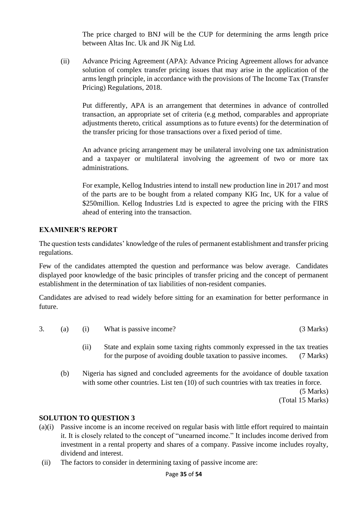The price charged to BNJ will be the CUP for determining the arms length price between Altas Inc. Uk and JK Nig Ltd.

(ii) Advance Pricing Agreement (APA): Advance Pricing Agreement allows for advance solution of complex transfer pricing issues that may arise in the application of the arms length principle, in accordance with the provisions of The Income Tax (Transfer Pricing) Regulations, 2018.

Put differently, APA is an arrangement that determines in advance of controlled transaction, an appropriate set of criteria (e.g method, comparables and appropriate adjustments thereto, critical assumptions as to future events) for the determination of the transfer pricing for those transactions over a fixed period of time.

An advance pricing arrangement may be unilateral involving one tax administration and a taxpayer or multilateral involving the agreement of two or more tax administrations.

For example, Kellog Industries intend to install new production line in 2017 and most of the parts are to be bought from a related company KIG Inc, UK for a value of \$250 million. Kellog Industries Ltd is expected to agree the pricing with the FIRS ahead of entering into the transaction.

# **EXAMINER'S REPORT**

The question tests candidates' knowledge of the rules of permanent establishment and transfer pricing regulations.

Few of the candidates attempted the question and performance was below average. Candidates displayed poor knowledge of the basic principles of transfer pricing and the concept of permanent establishment in the determination of tax liabilities of non-resident companies.

Candidates are advised to read widely before sitting for an examination for better performance in future.

- 3. (a) (i) What is passive income? (3 Marks)
	- (ii) State and explain some taxing rights commonly expressed in the tax treaties for the purpose of avoiding double taxation to passive incomes. (7 Marks)
	- (b) Nigeria has signed and concluded agreements for the avoidance of double taxation with some other countries. List ten (10) of such countries with tax treaties in force.

(5 Marks) (Total 15 Marks)

- (a)(i) Passive income is an income received on regular basis with little effort required to maintain it. It is closely related to the concept of "unearned income." It includes income derived from investment in a rental property and shares of a company. Passive income includes royalty, dividend and interest.
- (ii) The factors to consider in determining taxing of passive income are: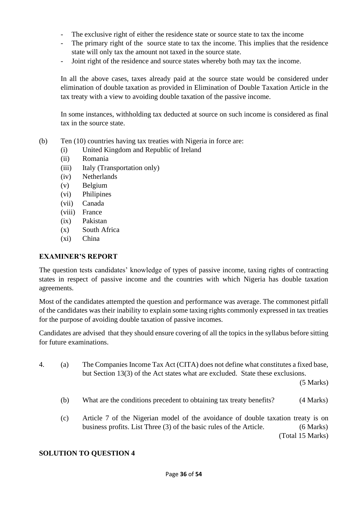- The exclusive right of either the residence state or source state to tax the income
- The primary right of the source state to tax the income. This implies that the residence state will only tax the amount not taxed in the source state.
- Joint right of the residence and source states whereby both may tax the income.

In all the above cases, taxes already paid at the source state would be considered under elimination of double taxation as provided in Elimination of Double Taxation Article in the tax treaty with a view to avoiding double taxation of the passive income.

In some instances, withholding tax deducted at source on such income is considered as final tax in the source state.

- (b) Ten (10) countries having tax treaties with Nigeria in force are:
	- (i) United Kingdom and Republic of Ireland
	- (ii) Romania
	- (iii) Italy (Transportation only)
	- (iv) Netherlands
	- (v) Belgium
	- (vi) Philipines
	- (vii) Canada
	- (viii) France
	- (ix) Pakistan
	- (x) South Africa
	- (xi) China

#### **EXAMINER'S REPORT**

The question tests candidates' knowledge of types of passive income, taxing rights of contracting states in respect of passive income and the countries with which Nigeria has double taxation agreements.

Most of the candidates attempted the question and performance was average. The commonest pitfall of the candidates was their inability to explain some taxing rights commonly expressed in tax treaties for the purpose of avoiding double taxation of passive incomes.

Candidates are advised that they should ensure covering of all the topics in the syllabus before sitting for future examinations.

4. (a) The Companies Income Tax Act (CITA) does not define what constitutes a fixed base, but Section 13(3) of the Act states what are excluded. State these exclusions.

(5 Marks)

- (b) What are the conditions precedent to obtaining tax treaty benefits? (4 Marks)
- (c) Article 7 of the Nigerian model of the avoidance of double taxation treaty is on business profits. List Three (3) of the basic rules of the Article. (6 Marks) (Total 15 Marks)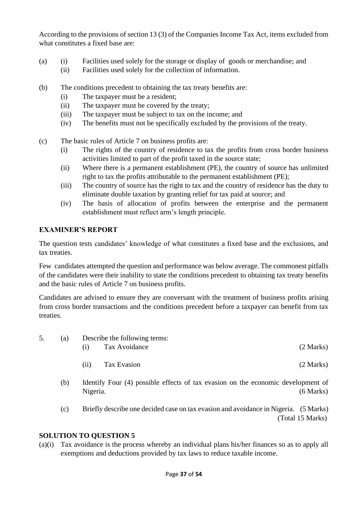According to the provisions of section 13 (3) of the Companies Income Tax Act, items excluded from what constitutes a fixed base are:

- (a) (i) Facilities used solely for the storage or display of goods or merchandise; and
	- (ii) Facilities used solely for the collection of information.
- (b) The conditions precedent to obtaining the tax treaty benefits are:
	- (i) The taxpayer must be a resident;
	- (ii) The taxpayer must be covered by the treaty;
	- (iii) The taxpayer must be subject to tax on the income; and
	- (iv) The benefits must not be specifically excluded by the provisions of the treaty.
- (c) The basic rules of Article 7 on business profits are:
	- (i) The rights of the country of residence to tax the profits from cross border business activities limited to part of the profit taxed in the source state;
	- (ii) Where there is a permanent establishment (PE), the country of source has unlimited right to tax the profits attributable to the permanent establishment (PE);
	- (iii) The country of source has the right to tax and the country of residence has the duty to eliminate double taxation by granting relief for tax paid at source; and
	- (iv) The basis of allocation of profits between the enterprise and the permanent establishment must reflect arm's length principle.

## **EXAMINER'S REPORT**

The question tests candidates' knowledge of what constitutes a fixed base and the exclusions, and tax treaties.

Few candidates attempted the question and performance was below average. The commonest pitfalls of the candidates were their inability to state the conditions precedent to obtaining tax treaty benefits and the basic rules of Article 7 on business profits.

Candidates are advised to ensure they are conversant with the treatment of business profits arising from cross border transactions and the conditions precedent before a taxpayer can benefit from tax treaties.

| (a) |  | Describe the following terms: |               |           |
|-----|--|-------------------------------|---------------|-----------|
|     |  | (1)                           | Tax Avoidance | (2 Marks) |
|     |  | (11)                          | Tax Evasion   | (2 Marks) |

- (b) Identify Four (4) possible effects of tax evasion on the economic development of Nigeria. (6 Marks)
- (c) Briefly describe one decided case on tax evasion and avoidance in Nigeria. (5 Marks) (Total 15 Marks)

#### **SOLUTION TO QUESTION 5**

(a)(i) Tax avoidance is the process whereby an individual plans his/her finances so as to apply all exemptions and deductions provided by tax laws to reduce taxable income.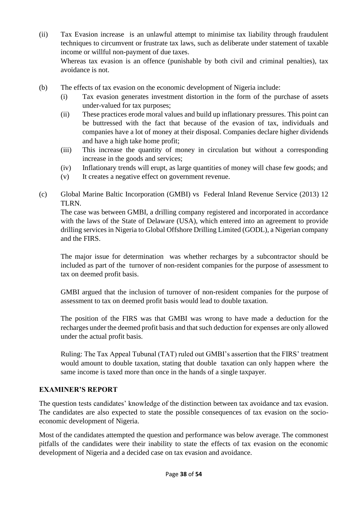(ii) Tax Evasion increase is an unlawful attempt to minimise tax liability through fraudulent techniques to circumvent or frustrate tax laws, such as deliberate under statement of taxable income or willful non-payment of due taxes.

Whereas tax evasion is an offence (punishable by both civil and criminal penalties), tax avoidance is not.

- (b) The effects of tax evasion on the economic development of Nigeria include:
	- (i) Tax evasion generates investment distortion in the form of the purchase of assets under-valued for tax purposes;
	- (ii) These practices erode moral values and build up inflationary pressures. This point can be buttressed with the fact that because of the evasion of tax, individuals and companies have a lot of money at their disposal. Companies declare higher dividends and have a high take home profit;
	- (iii) This increase the quantity of money in circulation but without a corresponding increase in the goods and services;
	- (iv) Inflationary trends will erupt, as large quantities of money will chase few goods; and
	- (v) It creates a negative effect on government revenue.
- (c) Global Marine Baltic Incorporation (GMBI) vs Federal Inland Revenue Service (2013) 12 TLRN.

The case was between GMBI, a drilling company registered and incorporated in accordance with the laws of the State of Delaware (USA), which entered into an agreement to provide drilling services in Nigeria to Global Offshore Drilling Limited (GODL), a Nigerian company and the FIRS.

The major issue for determination was whether recharges by a subcontractor should be included as part of the turnover of non-resident companies for the purpose of assessment to tax on deemed profit basis.

GMBI argued that the inclusion of turnover of non-resident companies for the purpose of assessment to tax on deemed profit basis would lead to double taxation.

The position of the FIRS was that GMBI was wrong to have made a deduction for the recharges under the deemed profit basis and that such deduction for expenses are only allowed under the actual profit basis.

Ruling: The Tax Appeal Tubunal (TAT) ruled out GMBI's assertion that the FIRS' treatment would amount to double taxation, stating that double taxation can only happen where the same income is taxed more than once in the hands of a single taxpayer.

# **EXAMINER'S REPORT**

The question tests candidates' knowledge of the distinction between tax avoidance and tax evasion. The candidates are also expected to state the possible consequences of tax evasion on the socioeconomic development of Nigeria.

Most of the candidates attempted the question and performance was below average. The commonest pitfalls of the candidates were their inability to state the effects of tax evasion on the economic development of Nigeria and a decided case on tax evasion and avoidance.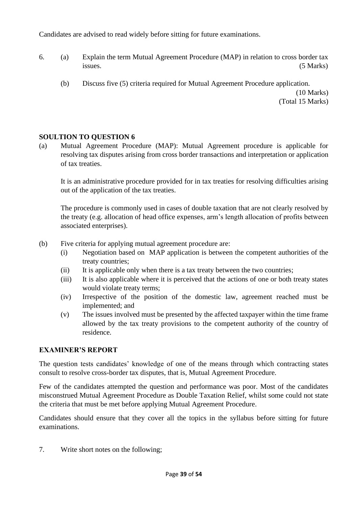Candidates are advised to read widely before sitting for future examinations.

- 6. (a) Explain the term Mutual Agreement Procedure (MAP) in relation to cross border tax issues. (5 Marks)
	- (b) Discuss five (5) criteria required for Mutual Agreement Procedure application.

(10 Marks) (Total 15 Marks)

# **SOULTION TO QUESTION 6**

(a) Mutual Agreement Procedure (MAP): Mutual Agreement procedure is applicable for resolving tax disputes arising from cross border transactions and interpretation or application of tax treaties.

It is an administrative procedure provided for in tax treaties for resolving difficulties arising out of the application of the tax treaties.

The procedure is commonly used in cases of double taxation that are not clearly resolved by the treaty (e.g. allocation of head office expenses, arm's length allocation of profits between associated enterprises).

- (b) Five criteria for applying mutual agreement procedure are:
	- (i) Negotiation based on MAP application is between the competent authorities of the treaty countries;
	- (ii) It is applicable only when there is a tax treaty between the two countries;
	- (iii) It is also applicable where it is perceived that the actions of one or both treaty states would violate treaty terms;
	- (iv) Irrespective of the position of the domestic law, agreement reached must be implemented; and
	- (v) The issues involved must be presented by the affected taxpayer within the time frame allowed by the tax treaty provisions to the competent authority of the country of residence.

# **EXAMINER'S REPORT**

The question tests candidates' knowledge of one of the means through which contracting states consult to resolve cross-border tax disputes, that is, Mutual Agreement Procedure.

Few of the candidates attempted the question and performance was poor. Most of the candidates misconstrued Mutual Agreement Procedure as Double Taxation Relief, whilst some could not state the criteria that must be met before applying Mutual Agreement Procedure.

Candidates should ensure that they cover all the topics in the syllabus before sitting for future examinations.

7. Write short notes on the following;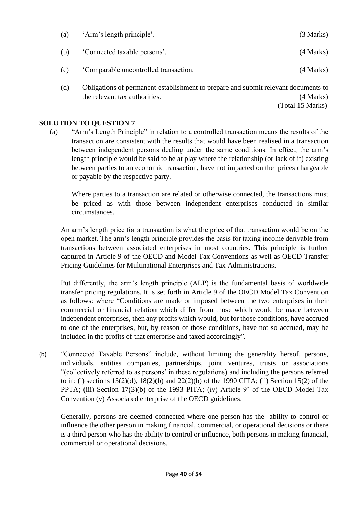| (a) | 'Arm's length principle'.            | (3 Marks) |
|-----|--------------------------------------|-----------|
| (b) | 'Connected taxable persons'.         | (4 Marks) |
| (c) | Comparable uncontrolled transaction. | (4 Marks) |
|     |                                      |           |

(d) Obligations of permanent establishment to prepare and submit relevant documents to the relevant tax authorities. (4 Marks) (Total 15 Marks)

**SOLUTION TO QUESTION 7**

(a) "Arm's Length Principle" in relation to a controlled transaction means the results of the transaction are consistent with the results that would have been realised in a transaction between independent persons dealing under the same conditions. In effect, the arm's length principle would be said to be at play where the relationship (or lack of it) existing between parties to an economic transaction, have not impacted on the prices chargeable or payable by the respective party.

Where parties to a transaction are related or otherwise connected, the transactions must be priced as with those between independent enterprises conducted in similar circumstances.

An arm's length price for a transaction is what the price of that transaction would be on the open market. The arm's length principle provides the basis for taxing income derivable from transactions between associated enterprises in most countries. This principle is further captured in Article 9 of the OECD and Model Tax Conventions as well as OECD Transfer Pricing Guidelines for Multinational Enterprises and Tax Administrations.

Put differently, the arm's length principle (ALP) is the fundamental basis of worldwide transfer pricing regulations. It is set forth in Article 9 of the OECD Model Tax Convention as follows: where "Conditions are made or imposed between the two enterprises in their commercial or financial relation which differ from those which would be made between independent enterprises, then any profits which would, but for those conditions, have accrued to one of the enterprises, but, by reason of those conditions, have not so accrued, may be included in the profits of that enterprise and taxed accordingly".

(b) "Connected Taxable Persons" include, without limiting the generality hereof, persons, individuals, entities companies, partnerships, joint ventures, trusts or associations "(collectively referred to as persons' in these regulations) and including the persons referred to in: (i) sections 13(2)(d), 18(2)(b) and 22(2)(b) of the 1990 CITA; (ii) Section 15(2) of the PPTA; (iii) Section 17(3)(b) of the 1993 PITA; (iv) Article 9' of the OECD Model Tax Convention (v) Associated enterprise of the OECD guidelines.

Generally, persons are deemed connected where one person has the ability to control or influence the other person in making financial, commercial, or operational decisions or there is a third person who has the ability to control or influence, both persons in making financial, commercial or operational decisions.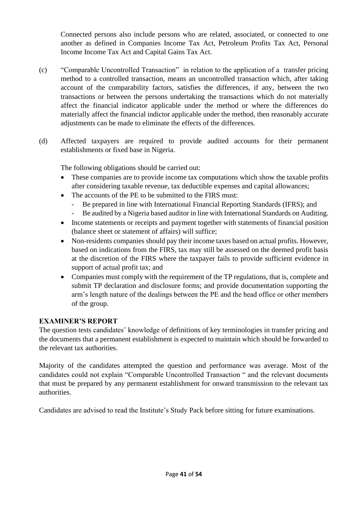Connected persons also include persons who are related, associated, or connected to one another as defined in Companies Income Tax Act, Petroleum Profits Tax Act, Personal Income Income Tax Act and Capital Gains Tax Act.

- (c) "Comparable Uncontrolled Transaction" in relation to the application of a transfer pricing method to a controlled transaction, means an uncontrolled transaction which, after taking account of the comparability factors, satisfies the differences, if any, between the two transactions or between the persons undertaking the transactions which do not materially affect the financial indicator applicable under the method or where the differences do materially affect the financial indictor applicable under the method, then reasonably accurate adjustments can be made to eliminate the effects of the differences.
- (d) Affected taxpayers are required to provide audited accounts for their permanent establishments or fixed base in Nigeria.

The following obligations should be carried out:

- These companies are to provide income tax computations which show the taxable profits after considering taxable revenue, tax deductible expenses and capital allowances;
- The accounts of the PE to be submitted to the FIRS must:
	- Be prepared in line with International Financial Reporting Standards (IFRS); and
	- Be audited by a Nigeria based auditor in line with International Standards on Auditing.
- Income statements or receipts and payment together with statements of financial position (balance sheet or statement of affairs) will suffice;
- Non-residents companies should pay their income taxes based on actual profits. However, based on indications from the FIRS, tax may still be assessed on the deemed profit basis at the discretion of the FIRS where the taxpayer fails to provide sufficient evidence in support of actual profit tax; and
- Companies must comply with the requirement of the TP regulations, that is, complete and submit TP declaration and disclosure forms; and provide documentation supporting the arm's length nature of the dealings between the PE and the head office or other members of the group.

# **EXAMINER'S REPORT**

The question tests candidates' knowledge of definitions of key terminologies in transfer pricing and the documents that a permanent establishment is expected to maintain which should be forwarded to the relevant tax authorities.

Majority of the candidates attempted the question and performance was average. Most of the candidates could not explain "Comparable Uncontrolled Transaction " and the relevant documents that must be prepared by any permanent establishment for onward transmission to the relevant tax authorities.

Candidates are advised to read the Institute's Study Pack before sitting for future examinations.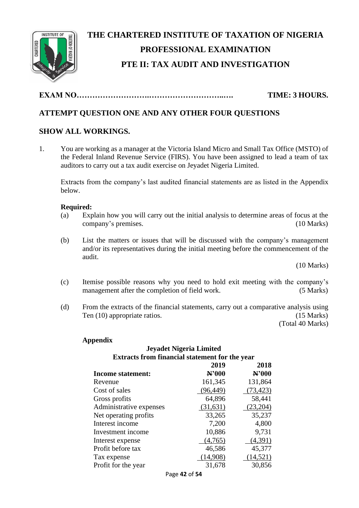

# **THE CHARTERED INSTITUTE OF TAXATION OF NIGERIA PROFESSIONAL EXAMINATION PTE II: TAX AUDIT AND INVESTIGATION**

**EXAM NO……………………….………………………..…. TIME: 3 HOURS.**

# **ATTEMPT QUESTION ONE AND ANY OTHER FOUR QUESTIONS**

# **SHOW ALL WORKINGS.**

1. You are working as a manager at the Victoria Island Micro and Small Tax Office (MSTO) of the Federal Inland Revenue Service (FIRS). You have been assigned to lead a team of tax auditors to carry out a tax audit exercise on Jeyadet Nigeria Limited.

Extracts from the company's last audited financial statements are as listed in the Appendix below.

## **Required:**

- (a) Explain how you will carry out the initial analysis to determine areas of focus at the company's premises. (10 Marks)
- (b) List the matters or issues that will be discussed with the company's management and/or its representatives during the initial meeting before the commencement of the audit.

(10 Marks)

- (c) Itemise possible reasons why you need to hold exit meeting with the company's management after the completion of field work. (5 Marks)
- (d) From the extracts of the financial statements, carry out a comparative analysis using Ten (10) appropriate ratios. (15 Marks)

(Total 40 Marks)

## **Appendix**

# **Jeyadet Nigeria Limited Extracts from financial statement for the year**

|                          | 2019      | 2018      |
|--------------------------|-----------|-----------|
| <b>Income statement:</b> | N'000     | N'000     |
| Revenue                  | 161,345   | 131,864   |
| Cost of sales            | (96, 449) | (73, 423) |
| Gross profits            | 64,896    | 58,441    |
| Administrative expenses  | (31,631)  | (23,204)  |
| Net operating profits    | 33,265    | 35,237    |
| Interest income          | 7,200     | 4,800     |
| Investment income        | 10,886    | 9,731     |
| Interest expense         | (4,765)   | (4,391)   |
| Profit before tax        | 46,586    | 45,377    |
| Tax expense              | (14,908)  | (14, 521) |
| Profit for the year      | 31,678    | 30,856    |
|                          |           |           |

Page **42** of **54**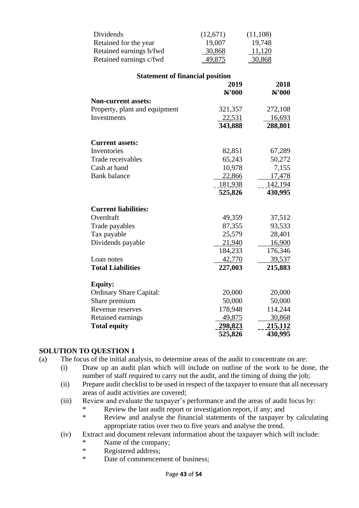| Dividends                              | (12,671)                  | (11, 108)                 |
|----------------------------------------|---------------------------|---------------------------|
| Retained for the year                  | 19,007                    | 19,748                    |
| Retained earnings b/fwd                | 30,868                    | 11,120                    |
| Retained earnings c/fwd                | 49,875                    | 30,868                    |
| <b>Statement of financial position</b> |                           |                           |
|                                        | 2019                      | 2018                      |
|                                        | N'000                     | N'000                     |
| <b>Non-current assets:</b>             |                           |                           |
| Property, plant and equipment          | 321,357                   | 272,108                   |
| Investments                            | 22,531                    | <u>16,693</u>             |
|                                        | 343,888                   | 288,801                   |
| <b>Current assets:</b>                 |                           |                           |
| Inventories                            | 82,851                    | 67,289                    |
| Trade receivables                      | 65,243                    | 50,272                    |
| Cash at hand                           | 10,978                    | 7,155                     |
| <b>Bank</b> balance                    | 22,866                    | 17,478                    |
|                                        | <u>181,938</u>            | 142,194                   |
|                                        | 525,826                   | 430,995                   |
| <b>Current liabilities:</b>            |                           |                           |
| Overdraft                              | 49,359                    | 37,512                    |
| Trade payables                         | 87,355                    | 93,533                    |
| Tax payable                            | 25,579                    | 28,401                    |
| Dividends payable                      | 21,940                    | 16,900                    |
|                                        | 184,233                   | 176,346                   |
| Loan notes                             | 42,770                    | 39,537                    |
| <b>Total Liabilities</b>               | 227,003                   | 215,883                   |
| <b>Equity:</b>                         |                           |                           |
| <b>Ordinary Share Capital:</b>         | 20,000                    | 20,000                    |
| Share premium                          | 50,000                    | 50,000                    |
| Revenue reserves                       | 178,948                   | 114,244                   |
| Retained earnings                      | 49,875                    | 30,868                    |
| <b>Total equity</b>                    | <u>298,823</u><br>525,826 | <u>215,112</u><br>430,995 |

- (a) The focus of the initial analysis, to determine areas of the audit to concentrate on are:
	- (i) Draw up an audit plan which will include on outline of the work to be done, the number of staff required to carry out the audit, and the timing of doing the job;
	- (ii) Prepare audit checklist to be used in respect of the taxpayer to ensure that all necessary areas of audit activities are covered;
	- (iii) Review and evaluate the taxpayer's performance and the areas of audit focus by:
		- \* Review the last audit report or investigation report, if any; and<br>Review and analyse the financial statements of the taxpayer
			- Review and analyse the financial statements of the taxpayer by calculating appropriate ratios over two to five years and analyse the trend.
	- (iv) Extract and document relevant information about the taxpayer which will include:
		- \* Name of the company;
		- \* Registered address;<br>\* Date of commencent
		- Date of commencement of business: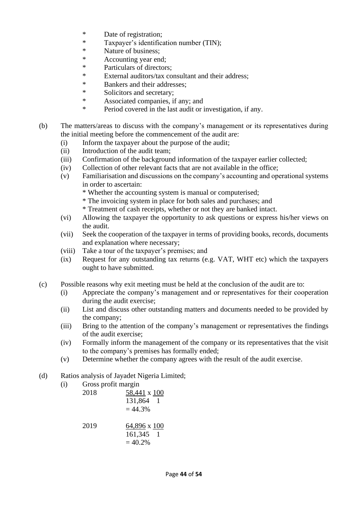- \* Date of registration;
- \* Taxpayer's identification number (TIN);<br>Nature of business:
- \* Nature of business;<br>\* Accounting year one
- Accounting year end:
- \* Particulars of directors;
- \* External auditors/tax consultant and their address;
- \* Bankers and their addresses;<br>Noticitors and secretary:
- Solicitors and secretary;
- \* Associated companies, if any; and
- \* Period covered in the last audit or investigation, if any.
- (b) The matters/areas to discuss with the company's management or its representatives during the initial meeting before the commencement of the audit are:
	- (i) Inform the taxpayer about the purpose of the audit;
	- (ii) Introduction of the audit team;
	- (iii) Confirmation of the background information of the taxpayer earlier collected;
	- (iv) Collection of other relevant facts that are not available in the office;
	- (v) Familiarisation and discussions on the company's accounting and operational systems in order to ascertain:
		- \* Whether the accounting system is manual or computerised;
		- \* The invoicing system in place for both sales and purchases; and
		- \* Treatment of cash receipts, whether or not they are banked intact.
	- (vi) Allowing the taxpayer the opportunity to ask questions or express his/her views on the audit.
	- (vii) Seek the cooperation of the taxpayer in terms of providing books, records, documents and explanation where necessary;
	- (viii) Take a tour of the taxpayer's premises; and
	- (ix) Request for any outstanding tax returns (e.g. VAT, WHT etc) which the taxpayers ought to have submitted.
- (c) Possible reasons why exit meeting must be held at the conclusion of the audit are to:
	- (i) Appreciate the company's management and or representatives for their cooperation during the audit exercise;
	- (ii) List and discuss other outstanding matters and documents needed to be provided by the company;
	- (iii) Bring to the attention of the company's management or representatives the findings of the audit exercise;
	- (iv) Formally inform the management of the company or its representatives that the visit to the company's premises has formally ended;
	- (v) Determine whether the company agrees with the result of the audit exercise.
- (d) Ratios analysis of Jayadet Nigeria Limited;
	- (i) Gross profit margin

| 2018 | 58,441 x 100<br>131,864<br>$= 44.3%$ |
|------|--------------------------------------|
| 2019 | 64,896 x 100<br>161,345<br>$= 40.2%$ |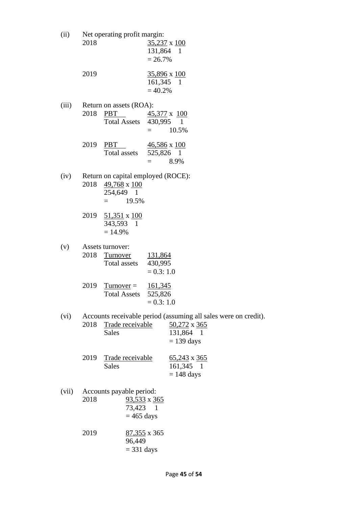| (ii)  | 2018 | Net operating profit margin:                                             | 131,864 1<br>$= 26.7\%$                   | 35,237 x 100                                                                                                        |
|-------|------|--------------------------------------------------------------------------|-------------------------------------------|---------------------------------------------------------------------------------------------------------------------|
|       | 2019 |                                                                          | 161,345 1<br>$= 40.2%$                    | <u>35,896</u> x 100                                                                                                 |
| (iii) | 2018 | Return on assets (ROA):<br>PBT 45,377 x 100<br>Total Assets 430,995 1    |                                           | 10.5%                                                                                                               |
|       | 2019 | <b>PBT</b><br>Total assets                                               | 525,826 1<br>$=$                          | $\frac{46,586}{2}$ x $\frac{100}{2}$<br>8.9%                                                                        |
| (iv)  | 2018 | Return on capital employed (ROCE):<br>49,768 x 100<br>254,649 1<br>19.5% |                                           |                                                                                                                     |
|       |      | 2019 51,351 x 100<br>343,593 1<br>$= 14.9\%$                             |                                           |                                                                                                                     |
| (v)   | 2018 | Assets turnover:<br><b>Turnover</b><br>Total assets                      | 131,864<br>430,995<br>$= 0.3: 1.0$        |                                                                                                                     |
|       | 2019 | $Turnover =$<br><b>Total Assets</b>                                      | <u>161,345</u><br>525,826<br>$= 0.3: 1.0$ |                                                                                                                     |
| (vi)  | 2018 | Trade receivable<br><b>Sales</b>                                         |                                           | Accounts receivable period (assuming all sales were on credit).<br>$50,272 \times 365$<br>131,864 1<br>$= 139$ days |
|       | 2019 | Trade receivable<br>Sales                                                |                                           | $\underline{65,243}$ x $\underline{365}$<br>161,345 1<br>$= 148$ days                                               |
| (vii) | 2018 | Accounts payable period:<br>73,423 1<br>$= 465$ days                     | $93,533 \times 365$                       |                                                                                                                     |
|       | 2019 | 96,449<br>$=$ 331 days                                                   | $87,355 \times 365$                       |                                                                                                                     |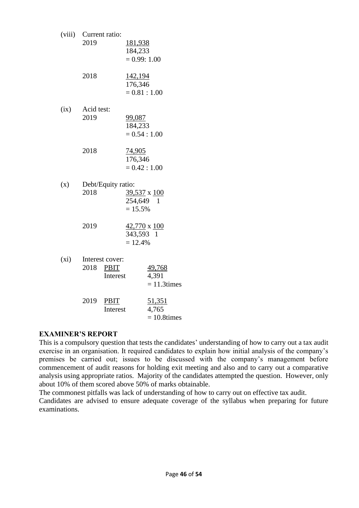|      | (viii) Current ratio:<br>2019            | 181,938<br>184,233<br>$= 0.99: 1.00$          |
|------|------------------------------------------|-----------------------------------------------|
|      | 2018                                     | 142,194<br>176,346<br>$= 0.81 : 1.00$         |
| (ix) | Acid test:<br>2019                       | <u>99,087</u><br>184,233<br>$= 0.54 : 1.00$   |
|      | 2018                                     | 74,905<br>176,346<br>$= 0.42 : 1.00$          |
| (x)  | Debt/Equity ratio:<br>2018               | 39,537 x 100<br>254,649 1<br>$= 15.5%$        |
|      | 2019                                     | $42,770 \times 100$<br>343,593 1<br>$= 12.4%$ |
| (xi) | Interest cover:<br>2018 PBIT<br>Interest | 49,768<br>4,391<br>$= 11.3$ times             |
|      | 2019<br><b>PBIT</b><br>Interest          | <u>51,351</u><br>4,765<br>$= 10.8$ times      |

## **EXAMINER'S REPORT**

This is a compulsory question that tests the candidates' understanding of how to carry out a tax audit exercise in an organisation. It required candidates to explain how initial analysis of the company's premises be carried out; issues to be discussed with the company's management before commencement of audit reasons for holding exit meeting and also and to carry out a comparative analysis using appropriate ratios. Majority of the candidates attempted the question. However, only about 10% of them scored above 50% of marks obtainable.

The commonest pitfalls was lack of understanding of how to carry out on effective tax audit.

Candidates are advised to ensure adequate coverage of the syllabus when preparing for future examinations.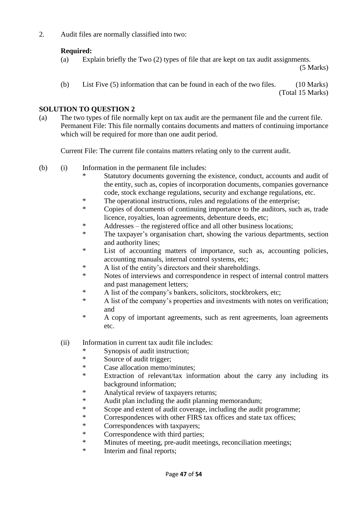2. Audit files are normally classified into two:

# **Required:**

(a) Explain briefly the Two (2) types of file that are kept on tax audit assignments.

(5 Marks)

(b) List Five (5) information that can be found in each of the two files. (10 Marks) (Total 15 Marks)

# **SOLUTION TO QUESTION 2**

(a) The two types of file normally kept on tax audit are the permanent file and the current file. Permanent File: This file normally contains documents and matters of continuing importance which will be required for more than one audit period.

Current File: The current file contains matters relating only to the current audit.

- (b) (i) Information in the permanent file includes:
	- Statutory documents governing the existence, conduct, accounts and audit of the entity, such as, copies of incorporation documents, companies governance code, stock exchange regulations, security and exchange regulations, etc.
	- \* The operational instructions, rules and regulations of the enterprise;
	- \* Copies of documents of continuing importance to the auditors, such as, trade licence, royalties, loan agreements, debenture deeds, etc;
	- \* Addresses the registered office and all other business locations;
	- \* The taxpayer's organisation chart, showing the various departments, section and authority lines;
	- \* List of accounting matters of importance, such as, accounting policies, accounting manuals, internal control systems, etc;
	- \* A list of the entity's directors and their shareholdings.<br>Notes of interviews and correspondence in respect of intervents.
	- Notes of interviews and correspondence in respect of internal control matters and past management letters;
	- \* A list of the company's bankers, solicitors, stockbrokers, etc;<br>A list of the company's properties and investments with notes
	- A list of the company's properties and investments with notes on verification; and
	- \* A copy of important agreements, such as rent agreements, loan agreements etc.

(ii) Information in current tax audit file includes:

- \* Synopsis of audit instruction;<br>\* Source of audit trigger:
- Source of audit trigger;
- \* Case allocation memo/minutes;
- Extraction of relevant/tax information about the carry any including its background information;
- \* Analytical review of taxpayers returns;<br>\* Audit plan including the audit planning
- Audit plan including the audit planning memorandum;
- \* Scope and extent of audit coverage, including the audit programme;
- \* Correspondences with other FIRS tax offices and state tax offices;
- \* Correspondences with taxpayers;
- \* Correspondence with third parties;
- \* Minutes of meeting, pre-audit meetings, reconciliation meetings;
- \* Interim and final reports;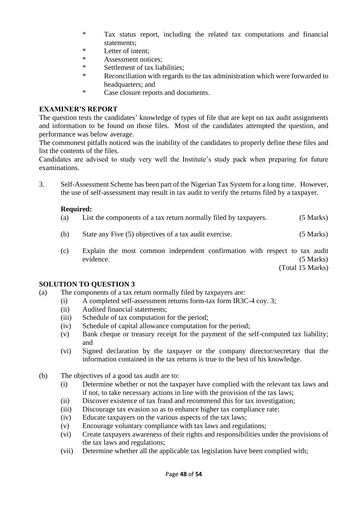- \* Tax status report, including the related tax computations and financial statements;
- \* Letter of intent;<br>\* Assessment notice
- Assessment notices:
- \* Settlement of tax liabilities;
- \* Reconciliation with regards to the tax administration which were forwarded to headquarters; and
- \* Case closure reports and documents.

## **EXAMINER'S REPORT**

The question tests the candidates' knowledge of types of file that are kept on tax audit assignments and information to be found on those files. Most of the candidates attempted the question, and performance was below average.

The commonest pitfalls noticed was the inability of the candidates to properly define these files and list the contents of the files.

Candidates are advised to study very well the Institute's study pack when preparing for future examinations.

3. Self-Assessment Scheme has been part of the Nigerian Tax System for a long time. However, the use of self-assessment may result in tax audit to verify the returns filed by a taxpayer.

# **Required:**

- (a) List the components of a tax return normally filed by taxpayers. (5 Marks)
- (b) State any Five (5) objectives of a tax audit exercise. (5 Marks)
- (c) Explain the most common independent confirmation with respect to tax audit evidence. (5 Marks)

(Total 15 Marks)

- (a) The components of a tax return normally filed by taxpayers are:
	- (i) A completed self-assessment returns form-tax form IR3C-4 coy. 3;
	- (ii) Audited financial statements;
	- (iii) Schedule of tax computation for the period;
	- (iv) Schedule of capital allowance computation for the period;
	- (v) Bank cheque or treasury receipt for the payment of the self-computed tax liability; and
	- (vi) Signed declaration by the taxpayer or the company director/secretary that the information contained in the tax returns is true to the best of his knowledge.
- (b) The objectives of a good tax audit are to:
	- (i) Determine whether or not the taxpayer have complied with the relevant tax laws and if not, to take necessary actions in line with the provision of the tax laws;
	- (ii) Discover existence of tax fraud and recommend this for tax investigation;
	- (iii) Discourage tax evasion so as to enhance higher tax compliance rate;
	- (iv) Educate taxpayers on the various aspects of the tax laws;
	- (v) Encourage voluntary compliance with tax laws and regulations;
	- (vi) Create taxpayers awareness of their rights and responsibilities under the provisions of the tax laws and regulations;
	- (vii) Determine whether all the applicable tax legislation have been complied with;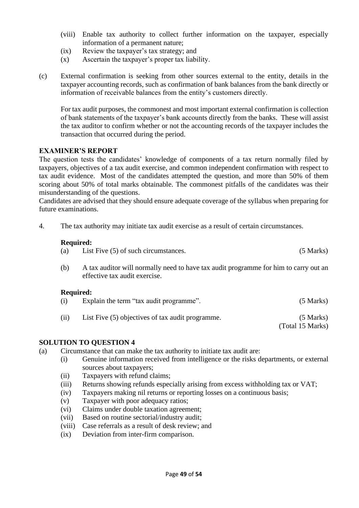- (viii) Enable tax authority to collect further information on the taxpayer, especially information of a permanent nature;
- (ix) Review the taxpayer's tax strategy; and
- (x) Ascertain the taxpayer's proper tax liability.
- (c) External confirmation is seeking from other sources external to the entity, details in the taxpayer accounting records, such as confirmation of bank balances from the bank directly or information of receivable balances from the entity's customers directly.

For tax audit purposes, the commonest and most important external confirmation is collection of bank statements of the taxpayer's bank accounts directly from the banks. These will assist the tax auditor to confirm whether or not the accounting records of the taxpayer includes the transaction that occurred during the period.

## **EXAMINER'S REPORT**

The question tests the candidates' knowledge of components of a tax return normally filed by taxpayers, objectives of a tax audit exercise, and common independent confirmation with respect to tax audit evidence. Most of the candidates attempted the question, and more than 50% of them scoring about 50% of total marks obtainable. The commonest pitfalls of the candidates was their misunderstanding of the questions.

Candidates are advised that they should ensure adequate coverage of the syllabus when preparing for future examinations.

4. The tax authority may initiate tax audit exercise as a result of certain circumstances.

#### **Required:**

| (a) | List Five (5) of such circumstances. | (5 Marks) |
|-----|--------------------------------------|-----------|
|     |                                      |           |

(b) A tax auditor will normally need to have tax audit programme for him to carry out an effective tax audit exercise.

#### **Required:**

| (i)  | Explain the term "tax audit programme".          | $(5$ Marks)                     |
|------|--------------------------------------------------|---------------------------------|
| (ii) | List Five (5) objectives of tax audit programme. | $(5$ Marks)<br>(Total 15 Marks) |

- (a) Circumstance that can make the tax authority to initiate tax audit are:
	- (i) Genuine information received from intelligence or the risks departments, or external sources about taxpayers;
	- (ii) Taxpayers with refund claims;
	- (iii) Returns showing refunds especially arising from excess withholding tax or VAT;
	- (iv) Taxpayers making nil returns or reporting losses on a continuous basis;
	- (v) Taxpayer with poor adequacy ratios;
	- (vi) Claims under double taxation agreement;
	- (vii) Based on routine sectorial/industry audit;
	- (viii) Case referrals as a result of desk review; and
	- (ix) Deviation from inter-firm comparison.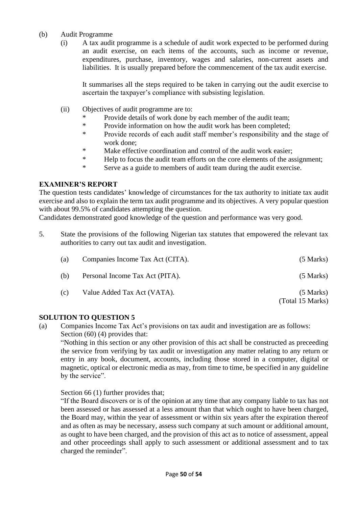## (b) Audit Programme

(i) A tax audit programme is a schedule of audit work expected to be performed during an audit exercise, on each items of the accounts, such as income or revenue, expenditures, purchase, inventory, wages and salaries, non-current assets and liabilities. It is usually prepared before the commencement of the tax audit exercise.

It summarises all the steps required to be taken in carrying out the audit exercise to ascertain the taxpayer's compliance with subsisting legislation.

- (ii) Objectives of audit programme are to:
	- Provide details of work done by each member of the audit team;
	- \* Provide information on how the audit work has been completed;<br> **Example 18** Provide records of each audit staff member's responsibility and
	- Provide records of each audit staff member's responsibility and the stage of work done;
	- \* Make effective coordination and control of the audit work easier;
	- \* Help to focus the audit team efforts on the core elements of the assignment;
	- \* Serve as a guide to members of audit team during the audit exercise.

#### **EXAMINER'S REPORT**

The question tests candidates' knowledge of circumstances for the tax authority to initiate tax audit exercise and also to explain the term tax audit programme and its objectives. A very popular question with about 99.5% of candidates attempting the question.

Candidates demonstrated good knowledge of the question and performance was very good.

5. State the provisions of the following Nigerian tax statutes that empowered the relevant tax authorities to carry out tax audit and investigation.

| (a) | Companies Income Tax Act (CITA). | $(5$ Marks)                     |
|-----|----------------------------------|---------------------------------|
| (b) | Personal Income Tax Act (PITA).  | $(5$ Marks)                     |
| (c) | Value Added Tax Act (VATA).      | $(5$ Marks)<br>(Total 15 Marks) |

#### **SOLUTION TO QUESTION 5**

(a) Companies Income Tax Act's provisions on tax audit and investigation are as follows: Section (60) (4) provides that:

"Nothing in this section or any other provision of this act shall be constructed as preceeding the service from verifying by tax audit or investigation any matter relating to any return or entry in any book, document, accounts, including those stored in a computer, digital or magnetic, optical or electronic media as may, from time to time, be specified in any guideline by the service".

#### Section 66 (1) further provides that;

"If the Board discovers or is of the opinion at any time that any company liable to tax has not been assessed or has assessed at a less amount than that which ought to have been charged, the Board may, within the year of assessment or within six years after the expiration thereof and as often as may be necessary, assess such company at such amount or additional amount, as ought to have been charged, and the provision of this act as to notice of assessment, appeal and other proceedings shall apply to such assessment or additional assessment and to tax charged the reminder".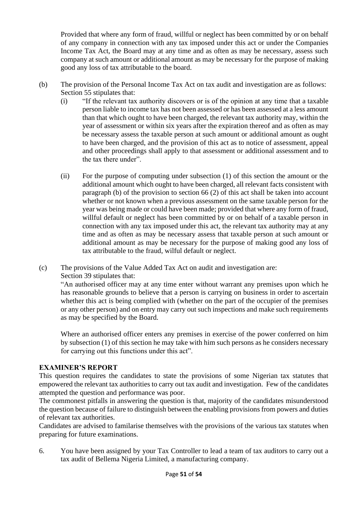Provided that where any form of fraud, willful or neglect has been committed by or on behalf of any company in connection with any tax imposed under this act or under the Companies Income Tax Act, the Board may at any time and as often as may be necessary, assess such company at such amount or additional amount as may be necessary for the purpose of making good any loss of tax attributable to the board.

- (b) The provision of the Personal Income Tax Act on tax audit and investigation are as follows: Section 55 stipulates that:
	- (i) "If the relevant tax authority discovers or is of the opinion at any time that a taxable person liable to income tax has not been assessed or has been assessed at a less amount than that which ought to have been charged, the relevant tax authority may, within the year of assessment or within six years after the expiration thereof and as often as may be necessary assess the taxable person at such amount or additional amount as ought to have been charged, and the provision of this act as to notice of assessment, appeal and other proceedings shall apply to that assessment or additional assessment and to the tax there under".
	- (ii) For the purpose of computing under subsection (1) of this section the amount or the additional amount which ought to have been charged, all relevant facts consistent with paragraph (b) of the provision to section 66 (2) of this act shall be taken into account whether or not known when a previous assessment on the same taxable person for the year was being made or could have been made; provided that where any form of fraud, willful default or neglect has been committed by or on behalf of a taxable person in connection with any tax imposed under this act, the relevant tax authority may at any time and as often as may be necessary assess that taxable person at such amount or additional amount as may be necessary for the purpose of making good any loss of tax attributable to the fraud, wilful default or neglect.

(c) The provisions of the Value Added Tax Act on audit and investigation are: Section 39 stipulates that:

"An authorised officer may at any time enter without warrant any premises upon which he has reasonable grounds to believe that a person is carrying on business in order to ascertain whether this act is being complied with (whether on the part of the occupier of the premises or any other person) and on entry may carry out such inspections and make such requirements as may be specified by the Board.

Where an authorised officer enters any premises in exercise of the power conferred on him by subsection (1) of this section he may take with him such persons as he considers necessary for carrying out this functions under this act".

# **EXAMINER'S REPORT**

This question requires the candidates to state the provisions of some Nigerian tax statutes that empowered the relevant tax authorities to carry out tax audit and investigation. Few of the candidates attempted the question and performance was poor.

The commonest pitfalls in answering the question is that, majority of the candidates misunderstood the question because of failure to distinguish between the enabling provisions from powers and duties of relevant tax authorities.

Candidates are advised to familarise themselves with the provisions of the various tax statutes when preparing for future examinations.

6. You have been assigned by your Tax Controller to lead a team of tax auditors to carry out a tax audit of Bellema Nigeria Limited, a manufacturing company.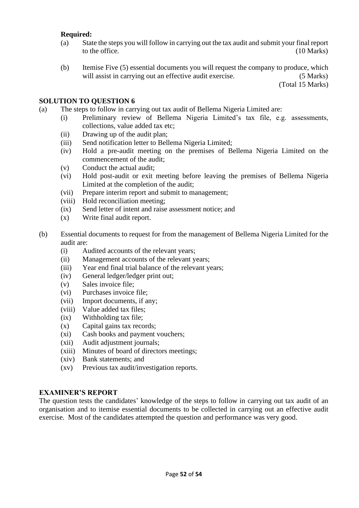## **Required:**

- (a) State the steps you will follow in carrying out the tax audit and submit your final report to the office. (10 Marks) (10 Marks)
- (b) Itemise Five (5) essential documents you will request the company to produce, which will assist in carrying out an effective audit exercise. (5 Marks)

(Total 15 Marks)

#### **SOLUTION TO QUESTION 6**

- (a) The steps to follow in carrying out tax audit of Bellema Nigeria Limited are:
	- (i) Preliminary review of Bellema Nigeria Limited's tax file, e.g. assessments, collections, value added tax etc;
	- (ii) Drawing up of the audit plan;
	- (iii) Send notification letter to Bellema Nigeria Limited;
	- (iv) Hold a pre-audit meeting on the premises of Bellema Nigeria Limited on the commencement of the audit;
	- (v) Conduct the actual audit;
	- (vi) Hold post-audit or exit meeting before leaving the premises of Bellema Nigeria Limited at the completion of the audit;
	- (vii) Prepare interim report and submit to management;
	- (viii) Hold reconciliation meeting;
	- (ix) Send letter of intent and raise assessment notice; and
	- (x) Write final audit report.
- (b) Essential documents to request for from the management of Bellema Nigeria Limited for the audit are:
	- (i) Audited accounts of the relevant years;
	- (ii) Management accounts of the relevant years;
	- (iii) Year end final trial balance of the relevant years;
	- (iv) General ledger/ledger print out;
	- (v) Sales invoice file;
	- (vi) Purchases invoice file;
	- (vii) Import documents, if any;
	- (viii) Value added tax files;
	- (ix) Withholding tax file;
	- (x) Capital gains tax records;
	- (xi) Cash books and payment vouchers;
	- (xii) Audit adjustment journals;
	- (xiii) Minutes of board of directors meetings;
	- (xiv) Bank statements; and
	- (xv) Previous tax audit/investigation reports.

#### **EXAMINER'S REPORT**

The question tests the candidates' knowledge of the steps to follow in carrying out tax audit of an organisation and to itemise essential documents to be collected in carrying out an effective audit exercise. Most of the candidates attempted the question and performance was very good.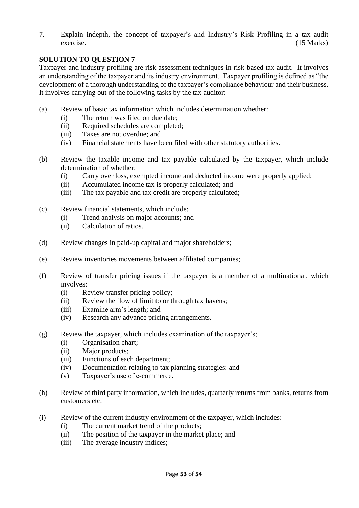7. Explain indepth, the concept of taxpayer's and Industry's Risk Profiling in a tax audit exercise. (15 Marks)

# **SOLUTION TO QUESTION 7**

Taxpayer and industry profiling are risk assessment techniques in risk-based tax audit. It involves an understanding of the taxpayer and its industry environment. Taxpayer profiling is defined as "the development of a thorough understanding of the taxpayer's compliance behaviour and their business. It involves carrying out of the following tasks by the tax auditor:

- (a) Review of basic tax information which includes determination whether:
	- (i) The return was filed on due date;
	- (ii) Required schedules are completed;
	- (iii) Taxes are not overdue; and
	- (iv) Financial statements have been filed with other statutory authorities.
- (b) Review the taxable income and tax payable calculated by the taxpayer, which include determination of whether:
	- (i) Carry over loss, exempted income and deducted income were properly applied;
	- (ii) Accumulated income tax is properly calculated; and
	- (iii) The tax payable and tax credit are properly calculated;
- (c) Review financial statements, which include:
	- (i) Trend analysis on major accounts; and
	- (ii) Calculation of ratios.
- (d) Review changes in paid-up capital and major shareholders;
- (e) Review inventories movements between affiliated companies;
- (f) Review of transfer pricing issues if the taxpayer is a member of a multinational, which involves:
	- (i) Review transfer pricing policy;
	- (ii) Review the flow of limit to or through tax havens;
	- (iii) Examine arm's length; and
	- (iv) Research any advance pricing arrangements.
- (g) Review the taxpayer, which includes examination of the taxpayer's;
	- (i) Organisation chart;
	- (ii) Major products;
	- (iii) Functions of each department;
	- (iv) Documentation relating to tax planning strategies; and
	- (v) Taxpayer's use of e-commerce.
- (h) Review of third party information, which includes, quarterly returns from banks, returns from customers etc.
- (i) Review of the current industry environment of the taxpayer, which includes:
	- (i) The current market trend of the products;
	- (ii) The position of the taxpayer in the market place; and
	- (iii) The average industry indices;